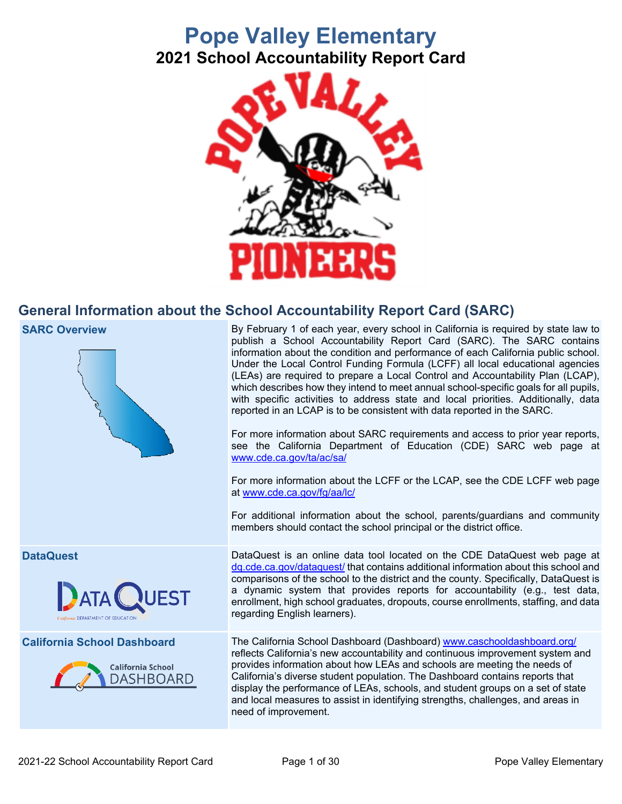# **Pope Valley Elementary 2021 School Accountability Report Card**



## **General Information about the School Accountability Report Card (SARC)**



need of improvement.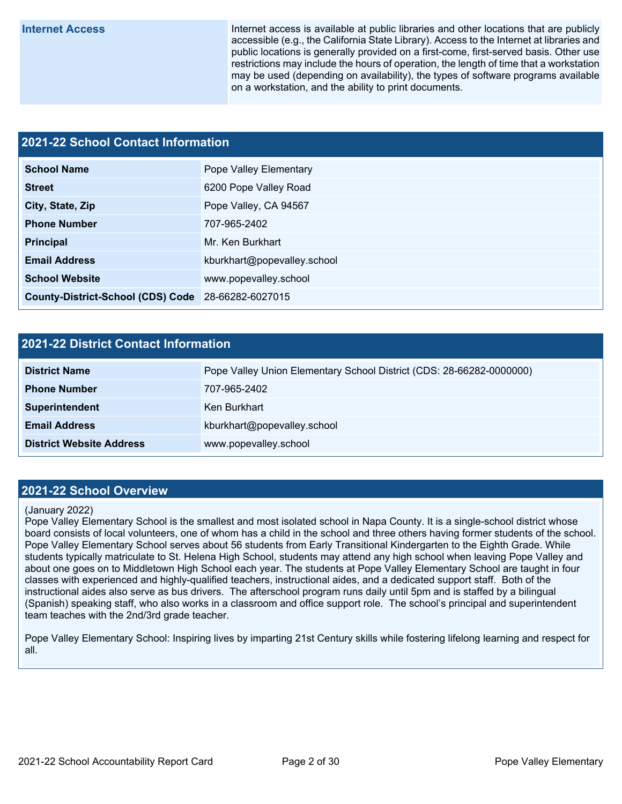**Internet Access** Internet access is available at public libraries and other locations that are publicly accessible (e.g., the California State Library). Access to the Internet at libraries and public locations is generally provided on a first-come, first-served basis. Other use restrictions may include the hours of operation, the length of time that a workstation may be used (depending on availability), the types of software programs available on a workstation, and the ability to print documents.

# **2021-22 School Contact Information School Name** Pope Valley Elementary **Street** 6200 Pope Valley Road **City, State, Zip Pope Valley, CA 94567 Phone Number** 707-965-2402 **Principal** Mr. Ken Burkhart **Email Address Email Address kburkhart@popevalley.school School Website www.popevalley.school County-District-School (CDS) Code** 28-66282-6027015

## **2021-22 District Contact Information**

| <b>District Name</b>            | Pope Valley Union Elementary School District (CDS: 28-66282-0000000) |
|---------------------------------|----------------------------------------------------------------------|
| <b>Phone Number</b>             | 707-965-2402                                                         |
| <b>Superintendent</b>           | Ken Burkhart                                                         |
| <b>Email Address</b>            | kburkhart@popevalley.school                                          |
| <b>District Website Address</b> | www.popevalley.school                                                |

### **2021-22 School Overview**

#### (January 2022)

Pope Valley Elementary School is the smallest and most isolated school in Napa County. It is a single-school district whose board consists of local volunteers, one of whom has a child in the school and three others having former students of the school. Pope Valley Elementary School serves about 56 students from Early Transitional Kindergarten to the Eighth Grade. While students typically matriculate to St. Helena High School, students may attend any high school when leaving Pope Valley and about one goes on to Middletown High School each year. The students at Pope Valley Elementary School are taught in four classes with experienced and highly-qualified teachers, instructional aides, and a dedicated support staff. Both of the instructional aides also serve as bus drivers. The afterschool program runs daily until 5pm and is staffed by a bilingual (Spanish) speaking staff, who also works in a classroom and office support role. The school's principal and superintendent team teaches with the 2nd/3rd grade teacher.

Pope Valley Elementary School: Inspiring lives by imparting 21st Century skills while fostering lifelong learning and respect for all.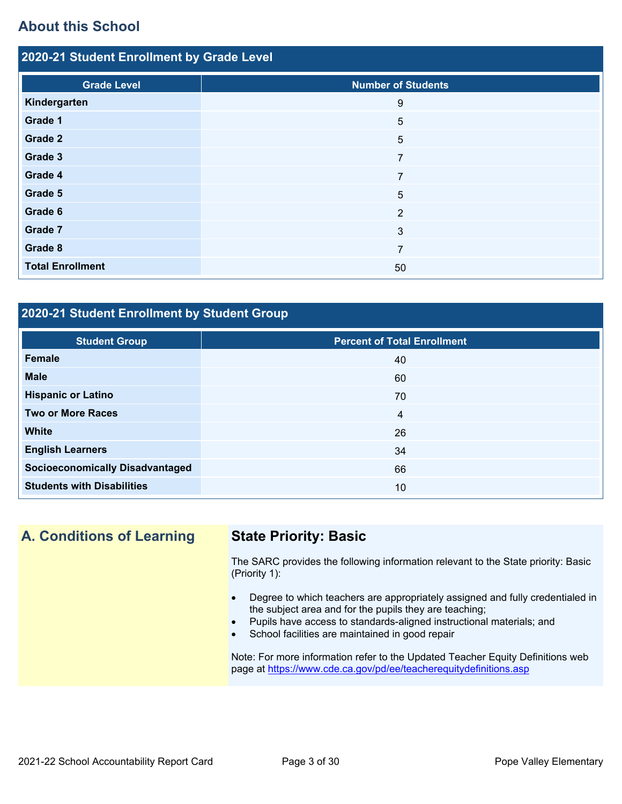## **About this School**

| 2020-21 Student Enrollment by Grade Level |                           |  |  |  |  |  |  |  |
|-------------------------------------------|---------------------------|--|--|--|--|--|--|--|
|                                           |                           |  |  |  |  |  |  |  |
| <b>Grade Level</b>                        | <b>Number of Students</b> |  |  |  |  |  |  |  |
| Kindergarten                              | 9                         |  |  |  |  |  |  |  |
| Grade 1                                   | $5\phantom{.0}$           |  |  |  |  |  |  |  |
| Grade 2                                   | $5\phantom{.0}$           |  |  |  |  |  |  |  |
| Grade 3                                   | $\overline{7}$            |  |  |  |  |  |  |  |
| Grade 4                                   | $\overline{7}$            |  |  |  |  |  |  |  |
| Grade 5                                   | 5                         |  |  |  |  |  |  |  |
| Grade 6                                   | 2                         |  |  |  |  |  |  |  |
| Grade 7                                   | $\mathbf{3}$              |  |  |  |  |  |  |  |
| Grade 8                                   | $\overline{7}$            |  |  |  |  |  |  |  |
| <b>Total Enrollment</b>                   | 50                        |  |  |  |  |  |  |  |

## **2020-21 Student Enrollment by Student Group**

| <b>Student Group</b>                   | <b>Percent of Total Enrollment</b> |
|----------------------------------------|------------------------------------|
| Female                                 | 40                                 |
| <b>Male</b>                            | 60                                 |
| <b>Hispanic or Latino</b>              | 70                                 |
| <b>Two or More Races</b>               | $\overline{4}$                     |
| <b>White</b>                           | 26                                 |
| <b>English Learners</b>                | 34                                 |
| <b>Socioeconomically Disadvantaged</b> | 66                                 |
| <b>Students with Disabilities</b>      | 10                                 |

## **A. Conditions of Learning State Priority: Basic**

The SARC provides the following information relevant to the State priority: Basic (Priority 1):

- Degree to which teachers are appropriately assigned and fully credentialed in the subject area and for the pupils they are teaching;
- Pupils have access to standards-aligned instructional materials; and
- School facilities are maintained in good repair

Note: For more information refer to the Updated Teacher Equity Definitions web page at <https://www.cde.ca.gov/pd/ee/teacherequitydefinitions.asp>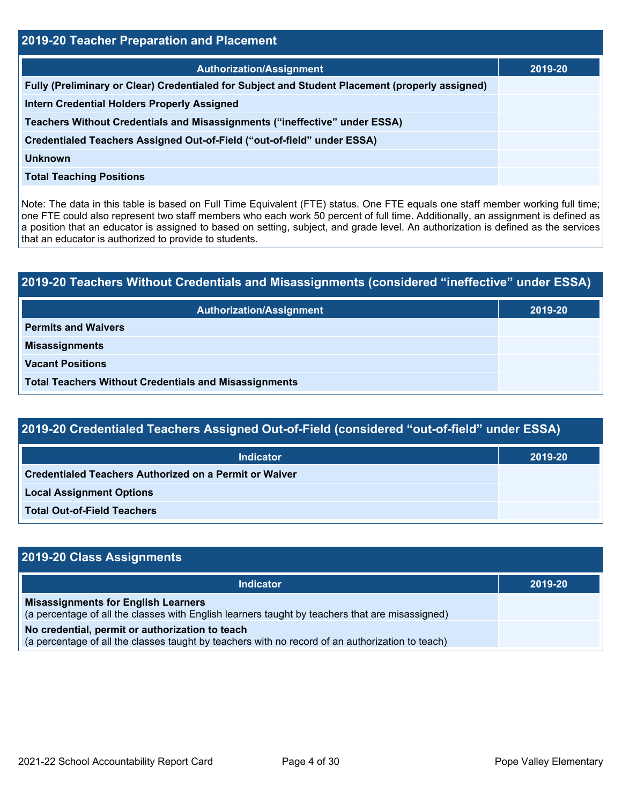| 2019-20 Teacher Preparation and Placement                                                       |         |  |  |  |  |
|-------------------------------------------------------------------------------------------------|---------|--|--|--|--|
| <b>Authorization/Assignment</b>                                                                 | 2019-20 |  |  |  |  |
| Fully (Preliminary or Clear) Credentialed for Subject and Student Placement (properly assigned) |         |  |  |  |  |
| <b>Intern Credential Holders Properly Assigned</b>                                              |         |  |  |  |  |
| Teachers Without Credentials and Misassignments ("ineffective" under ESSA)                      |         |  |  |  |  |
| Credentialed Teachers Assigned Out-of-Field ("out-of-field" under ESSA)                         |         |  |  |  |  |
| Unknown                                                                                         |         |  |  |  |  |
| <b>Total Teaching Positions</b>                                                                 |         |  |  |  |  |

Note: The data in this table is based on Full Time Equivalent (FTE) status. One FTE equals one staff member working full time; one FTE could also represent two staff members who each work 50 percent of full time. Additionally, an assignment is defined as a position that an educator is assigned to based on setting, subject, and grade level. An authorization is defined as the services that an educator is authorized to provide to students.

| 2019-20 Teachers Without Credentials and Misassignments (considered "ineffective" under ESSA) |         |  |  |  |  |
|-----------------------------------------------------------------------------------------------|---------|--|--|--|--|
| <b>Authorization/Assignment</b>                                                               | 2019-20 |  |  |  |  |
| <b>Permits and Waivers</b>                                                                    |         |  |  |  |  |
| <b>Misassignments</b>                                                                         |         |  |  |  |  |
| <b>Vacant Positions</b>                                                                       |         |  |  |  |  |
| <b>Total Teachers Without Credentials and Misassignments</b>                                  |         |  |  |  |  |

| 2019-20 Credentialed Teachers Assigned Out-of-Field (considered "out-of-field" under ESSA) |  |
|--------------------------------------------------------------------------------------------|--|
|                                                                                            |  |
|                                                                                            |  |

| <b>Indicator</b>                                              | 2019-20 |
|---------------------------------------------------------------|---------|
| <b>Credentialed Teachers Authorized on a Permit or Waiver</b> |         |
| <b>Local Assignment Options</b>                               |         |
| <b>Total Out-of-Field Teachers</b>                            |         |

| 2019-20 Class Assignments                                                                                                                           |         |  |  |  |  |
|-----------------------------------------------------------------------------------------------------------------------------------------------------|---------|--|--|--|--|
| <b>Indicator</b>                                                                                                                                    | 2019-20 |  |  |  |  |
| <b>Misassignments for English Learners</b><br>(a percentage of all the classes with English learners taught by teachers that are misassigned)       |         |  |  |  |  |
| No credential, permit or authorization to teach<br>(a percentage of all the classes taught by teachers with no record of an authorization to teach) |         |  |  |  |  |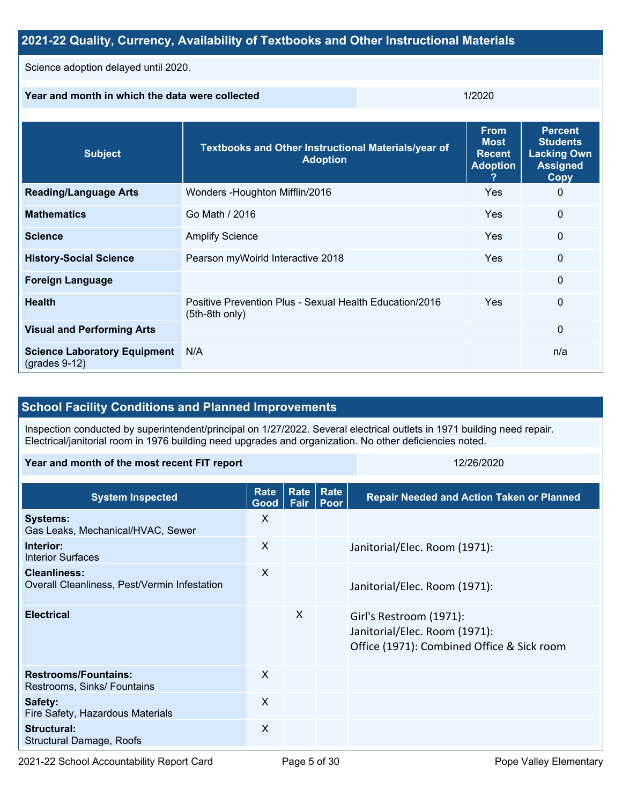| 2021-22 Quality, Currency, Availability of Textbooks and Other Instructional Materials |                                                                           |     |                                                                |                                                                                           |  |  |  |
|----------------------------------------------------------------------------------------|---------------------------------------------------------------------------|-----|----------------------------------------------------------------|-------------------------------------------------------------------------------------------|--|--|--|
| Science adoption delayed until 2020.                                                   |                                                                           |     |                                                                |                                                                                           |  |  |  |
| Year and month in which the data were collected                                        |                                                                           |     | 1/2020                                                         |                                                                                           |  |  |  |
| <b>Subject</b>                                                                         | Textbooks and Other Instructional Materials/year of<br><b>Adoption</b>    |     | <b>From</b><br><b>Most</b><br><b>Recent</b><br><b>Adoption</b> | <b>Percent</b><br><b>Students</b><br><b>Lacking Own</b><br><b>Assigned</b><br><b>Copy</b> |  |  |  |
| <b>Reading/Language Arts</b>                                                           | Wonders - Houghton Mifflin/2016                                           | Yes | $\Omega$                                                       |                                                                                           |  |  |  |
| <b>Mathematics</b>                                                                     | Go Math / 2016                                                            | Yes | $\mathbf 0$                                                    |                                                                                           |  |  |  |
| <b>Science</b>                                                                         | <b>Amplify Science</b>                                                    | Yes | $\mathbf 0$                                                    |                                                                                           |  |  |  |
| <b>History-Social Science</b>                                                          | Pearson myWoirld Interactive 2018                                         | Yes | 0                                                              |                                                                                           |  |  |  |
| <b>Foreign Language</b>                                                                | $\Omega$                                                                  |     |                                                                |                                                                                           |  |  |  |
| <b>Health</b>                                                                          | Positive Prevention Plus - Sexual Health Education/2016<br>(5th-8th only) | Yes | $\mathbf 0$                                                    |                                                                                           |  |  |  |
| <b>Visual and Performing Arts</b><br>$\Omega$                                          |                                                                           |     |                                                                |                                                                                           |  |  |  |
| <b>Science Laboratory Equipment</b><br>$(grades 9-12)$                                 | N/A                                                                       |     |                                                                |                                                                                           |  |  |  |

## **School Facility Conditions and Planned Improvements**

Inspection conducted by superintendent/principal on 1/27/2022. Several electrical outlets in 1971 building need repair. Electrical/janitorial room in 1976 building need upgrades and organization. No other deficiencies noted.

#### **Year and month of the most recent FIT report** 12/26/2020 12/26/2020

| <b>System Inspected</b>                                             | <b>Rate</b><br>Good | <b>Rate</b><br>Fair | Rate<br>Poor | <b>Repair Needed and Action Taken or Planned</b>                                                       |
|---------------------------------------------------------------------|---------------------|---------------------|--------------|--------------------------------------------------------------------------------------------------------|
| <b>Systems:</b><br>Gas Leaks, Mechanical/HVAC, Sewer                | X                   |                     |              |                                                                                                        |
| Interior:<br><b>Interior Surfaces</b>                               | X                   |                     |              | Janitorial/Elec. Room (1971):                                                                          |
| <b>Cleanliness:</b><br>Overall Cleanliness, Pest/Vermin Infestation | X                   |                     |              | Janitorial/Elec. Room (1971):                                                                          |
| <b>Electrical</b>                                                   |                     | $\times$            |              | Girl's Restroom (1971):<br>Janitorial/Elec. Room (1971):<br>Office (1971): Combined Office & Sick room |
| <b>Restrooms/Fountains:</b><br>Restrooms, Sinks/ Fountains          | $\times$            |                     |              |                                                                                                        |
| Safety:<br>Fire Safety, Hazardous Materials                         | $\times$            |                     |              |                                                                                                        |
| Structural:<br>Structural Damage, Roofs                             | X                   |                     |              |                                                                                                        |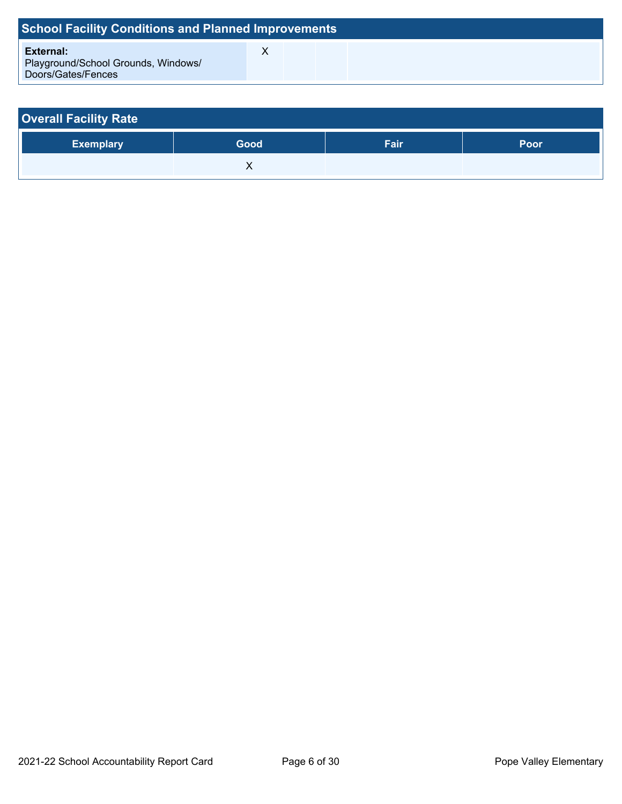| <b>School Facility Conditions and Planned Improvements</b>             |  |  |  |  |  |  |  |  |  |
|------------------------------------------------------------------------|--|--|--|--|--|--|--|--|--|
| External:<br>Playground/School Grounds, Windows/<br>Doors/Gates/Fences |  |  |  |  |  |  |  |  |  |

| <b>Overall Facility Rate</b> |      |      |      |  |  |  |  |
|------------------------------|------|------|------|--|--|--|--|
| <b>Exemplary</b>             | Good | Fair | Poor |  |  |  |  |
|                              |      |      |      |  |  |  |  |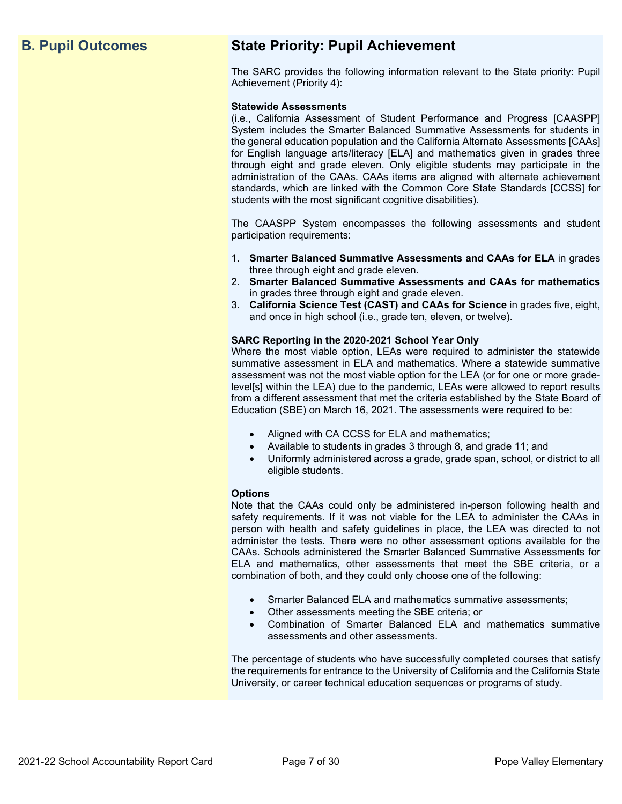## **B. Pupil Outcomes State Priority: Pupil Achievement**

The SARC provides the following information relevant to the State priority: Pupil Achievement (Priority 4):

#### **Statewide Assessments**

(i.e., California Assessment of Student Performance and Progress [CAASPP] System includes the Smarter Balanced Summative Assessments for students in the general education population and the California Alternate Assessments [CAAs] for English language arts/literacy [ELA] and mathematics given in grades three through eight and grade eleven. Only eligible students may participate in the administration of the CAAs. CAAs items are aligned with alternate achievement standards, which are linked with the Common Core State Standards [CCSS] for students with the most significant cognitive disabilities).

The CAASPP System encompasses the following assessments and student participation requirements:

- 1. **Smarter Balanced Summative Assessments and CAAs for ELA** in grades three through eight and grade eleven.
- 2. **Smarter Balanced Summative Assessments and CAAs for mathematics** in grades three through eight and grade eleven.
- 3. **California Science Test (CAST) and CAAs for Science** in grades five, eight, and once in high school (i.e., grade ten, eleven, or twelve).

#### **SARC Reporting in the 2020-2021 School Year Only**

Where the most viable option, LEAs were required to administer the statewide summative assessment in ELA and mathematics. Where a statewide summative assessment was not the most viable option for the LEA (or for one or more gradelevel[s] within the LEA) due to the pandemic, LEAs were allowed to report results from a different assessment that met the criteria established by the State Board of Education (SBE) on March 16, 2021. The assessments were required to be:

- Aligned with CA CCSS for ELA and mathematics;
- Available to students in grades 3 through 8, and grade 11; and
- Uniformly administered across a grade, grade span, school, or district to all eligible students.

#### **Options**

Note that the CAAs could only be administered in-person following health and safety requirements. If it was not viable for the LEA to administer the CAAs in person with health and safety guidelines in place, the LEA was directed to not administer the tests. There were no other assessment options available for the CAAs. Schools administered the Smarter Balanced Summative Assessments for ELA and mathematics, other assessments that meet the SBE criteria, or a combination of both, and they could only choose one of the following:

- Smarter Balanced ELA and mathematics summative assessments;
- Other assessments meeting the SBE criteria; or
- Combination of Smarter Balanced ELA and mathematics summative assessments and other assessments.

The percentage of students who have successfully completed courses that satisfy the requirements for entrance to the University of California and the California State University, or career technical education sequences or programs of study.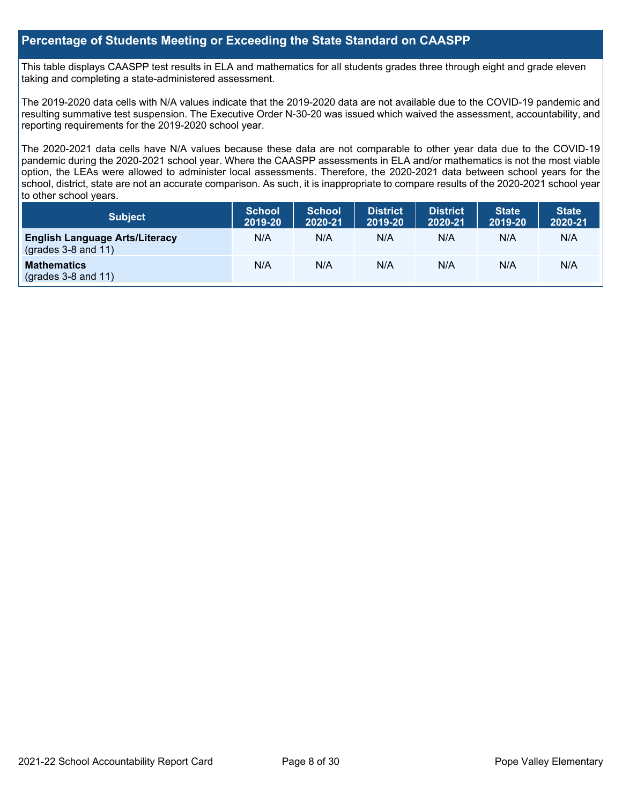## **Percentage of Students Meeting or Exceeding the State Standard on CAASPP**

This table displays CAASPP test results in ELA and mathematics for all students grades three through eight and grade eleven taking and completing a state-administered assessment.

The 2019-2020 data cells with N/A values indicate that the 2019-2020 data are not available due to the COVID-19 pandemic and resulting summative test suspension. The Executive Order N-30-20 was issued which waived the assessment, accountability, and reporting requirements for the 2019-2020 school year.

The 2020-2021 data cells have N/A values because these data are not comparable to other year data due to the COVID-19 pandemic during the 2020-2021 school year. Where the CAASPP assessments in ELA and/or mathematics is not the most viable option, the LEAs were allowed to administer local assessments. Therefore, the 2020-2021 data between school years for the school, district, state are not an accurate comparison. As such, it is inappropriate to compare results of the 2020-2021 school year to other school years.

| Subject                                                              | <b>School</b><br>2019-20 | <b>School</b><br>2020-21 | <b>District</b><br>2019-20 | <b>District</b><br>2020-21 | <b>State</b><br>2019-20 | <b>State</b><br>2020-21 |
|----------------------------------------------------------------------|--------------------------|--------------------------|----------------------------|----------------------------|-------------------------|-------------------------|
| <b>English Language Arts/Literacy</b><br>$\left($ grades 3-8 and 11) | N/A                      | N/A                      | N/A                        | N/A                        | N/A                     | N/A                     |
| <b>Mathematics</b><br>$(grades 3-8 and 11)$                          | N/A                      | N/A                      | N/A                        | N/A                        | N/A                     | N/A                     |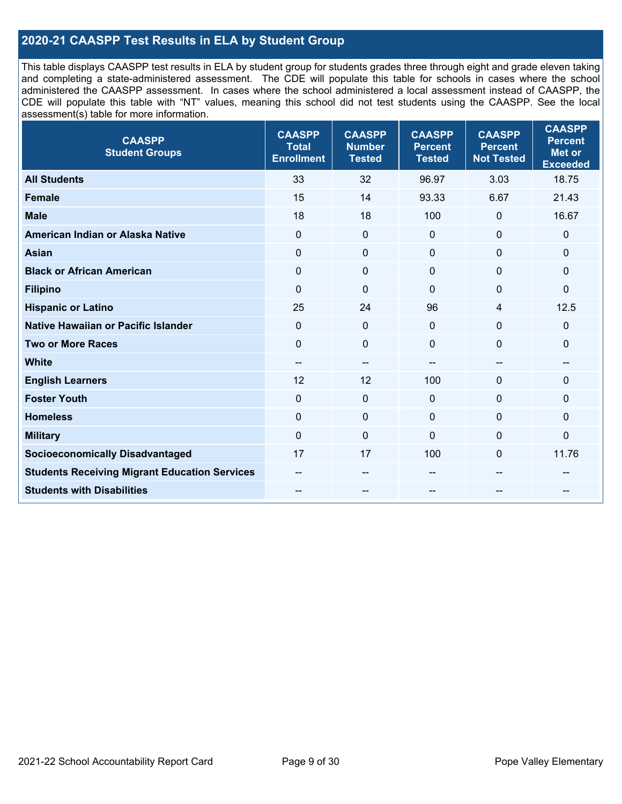## **2020-21 CAASPP Test Results in ELA by Student Group**

This table displays CAASPP test results in ELA by student group for students grades three through eight and grade eleven taking and completing a state-administered assessment. The CDE will populate this table for schools in cases where the school administered the CAASPP assessment. In cases where the school administered a local assessment instead of CAASPP, the CDE will populate this table with "NT" values, meaning this school did not test students using the CAASPP. See the local assessment(s) table for more information.

| <b>CAASPP</b><br><b>Student Groups</b>               | <b>CAASPP</b><br><b>Total</b><br><b>Enrollment</b> | <b>CAASPP</b><br><b>Number</b><br><b>Tested</b> | <b>CAASPP</b><br><b>Percent</b><br><b>Tested</b> | <b>CAASPP</b><br><b>Percent</b><br><b>Not Tested</b> | <b>CAASPP</b><br><b>Percent</b><br><b>Met or</b><br><b>Exceeded</b> |
|------------------------------------------------------|----------------------------------------------------|-------------------------------------------------|--------------------------------------------------|------------------------------------------------------|---------------------------------------------------------------------|
| <b>All Students</b>                                  | 33                                                 | 32                                              | 96.97                                            | 3.03                                                 | 18.75                                                               |
| <b>Female</b>                                        | 15                                                 | 14                                              | 93.33                                            | 6.67                                                 | 21.43                                                               |
| <b>Male</b>                                          | 18                                                 | 18                                              | 100                                              | $\mathbf 0$                                          | 16.67                                                               |
| American Indian or Alaska Native                     | $\mathbf 0$                                        | $\pmb{0}$                                       | $\mathbf 0$                                      | $\mathbf 0$                                          | $\mathbf 0$                                                         |
| <b>Asian</b>                                         | $\mathbf 0$                                        | $\pmb{0}$                                       | $\mathbf{0}$                                     | $\mathbf 0$                                          | 0                                                                   |
| <b>Black or African American</b>                     | $\mathbf 0$                                        | $\mathbf 0$                                     | $\mathbf{0}$                                     | $\mathbf 0$                                          | 0                                                                   |
| <b>Filipino</b>                                      | $\mathbf 0$                                        | $\mathbf 0$                                     | $\Omega$                                         | $\mathbf 0$                                          | $\mathbf 0$                                                         |
| <b>Hispanic or Latino</b>                            | 25                                                 | 24                                              | 96                                               | 4                                                    | 12.5                                                                |
| <b>Native Hawaiian or Pacific Islander</b>           | $\mathbf 0$                                        | $\pmb{0}$                                       | $\mathbf 0$                                      | $\mathbf 0$                                          | 0                                                                   |
| <b>Two or More Races</b>                             | $\mathbf 0$                                        | $\pmb{0}$                                       | $\mathbf 0$                                      | $\mathbf 0$                                          | 0                                                                   |
| <b>White</b>                                         | $- -$                                              | $-\!$ $\!-$                                     | $- -$                                            | $\overline{\phantom{a}}$                             | --                                                                  |
| <b>English Learners</b>                              | 12                                                 | 12                                              | 100                                              | $\mathbf 0$                                          | $\Omega$                                                            |
| <b>Foster Youth</b>                                  | $\mathbf 0$                                        | $\mathbf 0$                                     | $\mathbf{0}$                                     | $\mathbf 0$                                          | $\mathbf{0}$                                                        |
| <b>Homeless</b>                                      | $\mathbf 0$                                        | $\mathbf 0$                                     | $\mathbf{0}$                                     | $\mathbf 0$                                          | 0                                                                   |
| <b>Military</b>                                      | $\mathbf 0$                                        | $\pmb{0}$                                       | $\mathbf 0$                                      | $\mathbf 0$                                          | $\mathsf{O}\xspace$                                                 |
| <b>Socioeconomically Disadvantaged</b>               | 17                                                 | 17                                              | 100                                              | $\mathbf 0$                                          | 11.76                                                               |
| <b>Students Receiving Migrant Education Services</b> |                                                    | --                                              |                                                  |                                                      |                                                                     |
| <b>Students with Disabilities</b>                    |                                                    | $\qquad \qquad -$                               | --                                               |                                                      |                                                                     |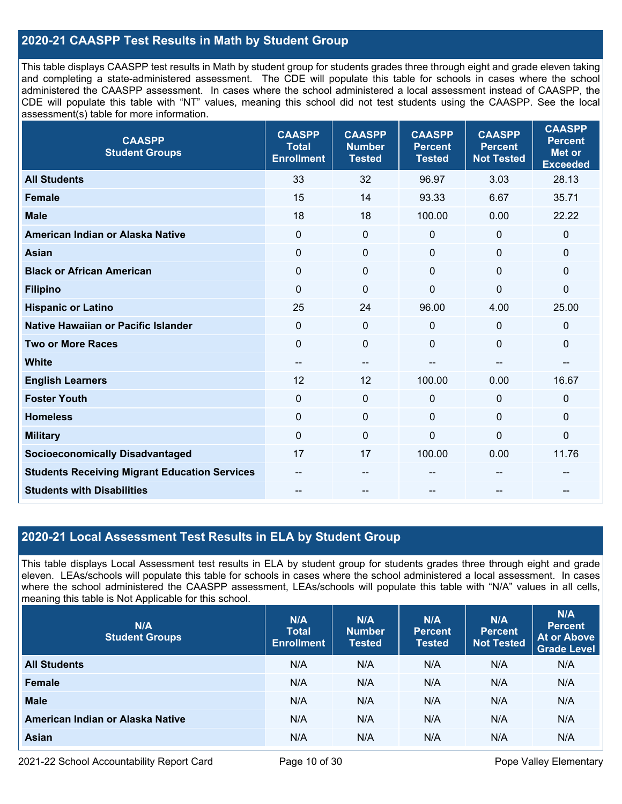## **2020-21 CAASPP Test Results in Math by Student Group**

This table displays CAASPP test results in Math by student group for students grades three through eight and grade eleven taking and completing a state-administered assessment. The CDE will populate this table for schools in cases where the school administered the CAASPP assessment. In cases where the school administered a local assessment instead of CAASPP, the CDE will populate this table with "NT" values, meaning this school did not test students using the CAASPP. See the local assessment(s) table for more information.

| <b>CAASPP</b><br><b>Student Groups</b>               | <b>CAASPP</b><br><b>Total</b><br><b>Enrollment</b> | <b>CAASPP</b><br><b>Number</b><br><b>Tested</b> | <b>CAASPP</b><br><b>Percent</b><br><b>Tested</b> | <b>CAASPP</b><br><b>Percent</b><br><b>Not Tested</b> | <b>CAASPP</b><br><b>Percent</b><br><b>Met or</b><br><b>Exceeded</b> |
|------------------------------------------------------|----------------------------------------------------|-------------------------------------------------|--------------------------------------------------|------------------------------------------------------|---------------------------------------------------------------------|
| <b>All Students</b>                                  | 33                                                 | 32                                              | 96.97                                            | 3.03                                                 | 28.13                                                               |
| <b>Female</b>                                        | 15                                                 | 14                                              | 93.33                                            | 6.67                                                 | 35.71                                                               |
| <b>Male</b>                                          | 18                                                 | 18                                              | 100.00                                           | 0.00                                                 | 22.22                                                               |
| American Indian or Alaska Native                     | $\mathbf 0$                                        | $\mathbf 0$                                     | $\mathbf 0$                                      | 0                                                    | $\mathbf 0$                                                         |
| <b>Asian</b>                                         | $\mathbf 0$                                        | $\pmb{0}$                                       | $\mathbf 0$                                      | 0                                                    | $\pmb{0}$                                                           |
| <b>Black or African American</b>                     | $\mathbf 0$                                        | 0                                               | $\Omega$                                         | 0                                                    | $\mathbf{0}$                                                        |
| <b>Filipino</b>                                      | $\mathbf 0$                                        | $\mathbf 0$                                     | $\mathbf 0$                                      | 0                                                    | $\mathbf 0$                                                         |
| <b>Hispanic or Latino</b>                            | 25                                                 | 24                                              | 96.00                                            | 4.00                                                 | 25.00                                                               |
| Native Hawaiian or Pacific Islander                  | $\mathbf{0}$                                       | $\mathbf 0$                                     | $\mathbf 0$                                      | 0                                                    | $\mathbf 0$                                                         |
| <b>Two or More Races</b>                             | $\mathbf{0}$                                       | $\mathbf 0$                                     | $\mathbf 0$                                      | 0                                                    | $\mathbf 0$                                                         |
| <b>White</b>                                         | $-\!$ $\!-$                                        | $-\!$                                           | --                                               | --                                                   | --                                                                  |
| <b>English Learners</b>                              | 12                                                 | 12                                              | 100.00                                           | 0.00                                                 | 16.67                                                               |
| <b>Foster Youth</b>                                  | $\mathbf 0$                                        | 0                                               | $\mathbf 0$                                      | 0                                                    | $\mathbf 0$                                                         |
| <b>Homeless</b>                                      | $\mathbf{0}$                                       | $\mathbf 0$                                     | $\mathbf 0$                                      | 0                                                    | $\mathbf 0$                                                         |
| <b>Military</b>                                      | $\mathbf 0$                                        | $\mathbf 0$                                     | $\mathbf 0$                                      | 0                                                    | $\mathbf 0$                                                         |
| <b>Socioeconomically Disadvantaged</b>               | 17                                                 | 17                                              | 100.00                                           | 0.00                                                 | 11.76                                                               |
| <b>Students Receiving Migrant Education Services</b> |                                                    | --                                              |                                                  |                                                      |                                                                     |
| <b>Students with Disabilities</b>                    |                                                    |                                                 |                                                  |                                                      |                                                                     |

## **2020-21 Local Assessment Test Results in ELA by Student Group**

This table displays Local Assessment test results in ELA by student group for students grades three through eight and grade eleven. LEAs/schools will populate this table for schools in cases where the school administered a local assessment. In cases where the school administered the CAASPP assessment, LEAs/schools will populate this table with "N/A" values in all cells, meaning this table is Not Applicable for this school.

| N/A<br><b>Student Groups</b>     | N/A<br><b>Total</b><br><b>Enrollment</b> | N/A<br><b>Number</b><br><b>Tested</b> | N/A<br><b>Percent</b><br><b>Tested</b> | N/A<br><b>Percent</b><br><b>Not Tested</b> | N/A<br><b>Percent</b><br><b>At or Above</b><br>Grade Level |
|----------------------------------|------------------------------------------|---------------------------------------|----------------------------------------|--------------------------------------------|------------------------------------------------------------|
| <b>All Students</b>              | N/A                                      | N/A                                   | N/A                                    | N/A                                        | N/A                                                        |
| Female                           | N/A                                      | N/A                                   | N/A                                    | N/A                                        | N/A                                                        |
| <b>Male</b>                      | N/A                                      | N/A                                   | N/A                                    | N/A                                        | N/A                                                        |
| American Indian or Alaska Native | N/A                                      | N/A                                   | N/A                                    | N/A                                        | N/A                                                        |
| <b>Asian</b>                     | N/A                                      | N/A                                   | N/A                                    | N/A                                        | N/A                                                        |

2021-22 School Accountability Report Card Page 10 of 30 Pope Valley Elementary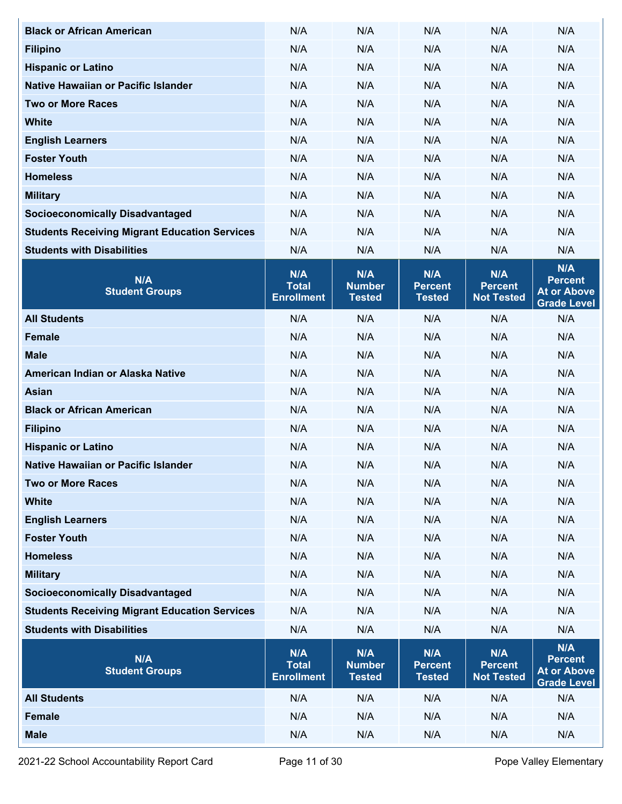| <b>Black or African American</b>                     | N/A                                      | N/A                                   | N/A                                    | N/A                                        | N/A                                                               |
|------------------------------------------------------|------------------------------------------|---------------------------------------|----------------------------------------|--------------------------------------------|-------------------------------------------------------------------|
| <b>Filipino</b>                                      | N/A                                      | N/A                                   | N/A                                    | N/A                                        | N/A                                                               |
| <b>Hispanic or Latino</b>                            | N/A                                      | N/A                                   | N/A                                    | N/A                                        | N/A                                                               |
| Native Hawaiian or Pacific Islander                  | N/A                                      | N/A                                   | N/A                                    | N/A                                        | N/A                                                               |
| <b>Two or More Races</b>                             | N/A                                      | N/A                                   | N/A                                    | N/A                                        | N/A                                                               |
| <b>White</b>                                         | N/A                                      | N/A                                   | N/A                                    | N/A                                        | N/A                                                               |
| <b>English Learners</b>                              | N/A                                      | N/A                                   | N/A                                    | N/A                                        | N/A                                                               |
| <b>Foster Youth</b>                                  | N/A                                      | N/A                                   | N/A                                    | N/A                                        | N/A                                                               |
| <b>Homeless</b>                                      | N/A                                      | N/A                                   | N/A                                    | N/A                                        | N/A                                                               |
| <b>Military</b>                                      | N/A                                      | N/A                                   | N/A                                    | N/A                                        | N/A                                                               |
| <b>Socioeconomically Disadvantaged</b>               | N/A                                      | N/A                                   | N/A                                    | N/A                                        | N/A                                                               |
| <b>Students Receiving Migrant Education Services</b> | N/A                                      | N/A                                   | N/A                                    | N/A                                        | N/A                                                               |
| <b>Students with Disabilities</b>                    | N/A                                      | N/A                                   | N/A                                    | N/A                                        | N/A                                                               |
| N/A<br><b>Student Groups</b>                         | N/A<br><b>Total</b><br><b>Enrollment</b> | N/A<br><b>Number</b><br><b>Tested</b> | N/A<br><b>Percent</b><br><b>Tested</b> | N/A<br><b>Percent</b><br><b>Not Tested</b> | N/A<br><b>Percent</b><br><b>At or Above</b><br><b>Grade Level</b> |
| <b>All Students</b>                                  | N/A                                      | N/A                                   | N/A                                    | N/A                                        | N/A                                                               |
| <b>Female</b>                                        | N/A                                      | N/A                                   | N/A                                    | N/A                                        | N/A                                                               |
| <b>Male</b>                                          | N/A                                      | N/A                                   | N/A                                    | N/A                                        | N/A                                                               |
| American Indian or Alaska Native                     | N/A                                      | N/A                                   | N/A                                    | N/A                                        | N/A                                                               |
| <b>Asian</b>                                         | N/A                                      | N/A                                   | N/A                                    | N/A                                        | N/A                                                               |
| <b>Black or African American</b>                     | N/A                                      | N/A                                   | N/A                                    | N/A                                        | N/A                                                               |
| <b>Filipino</b>                                      | N/A                                      | N/A                                   | N/A                                    | N/A                                        | N/A                                                               |
| <b>Hispanic or Latino</b>                            | N/A                                      | N/A                                   | N/A                                    | N/A                                        | N/A                                                               |
| Native Hawaiian or Pacific Islander                  | N/A                                      | N/A                                   | N/A                                    | N/A                                        | N/A                                                               |
| <b>Two or More Races</b>                             | N/A                                      | N/A                                   | N/A                                    | N/A                                        | N/A                                                               |
| <b>White</b>                                         | N/A                                      | N/A                                   | N/A                                    | N/A                                        | N/A                                                               |
| <b>English Learners</b>                              | N/A                                      | N/A                                   | N/A                                    | N/A                                        | N/A                                                               |
| <b>Foster Youth</b>                                  | N/A                                      | N/A                                   | N/A                                    | N/A                                        | N/A                                                               |
| <b>Homeless</b>                                      | N/A                                      | N/A                                   | N/A                                    | N/A                                        | N/A                                                               |
| <b>Military</b>                                      | N/A                                      | N/A                                   | N/A                                    | N/A                                        | N/A                                                               |
| <b>Socioeconomically Disadvantaged</b>               | N/A                                      | N/A                                   | N/A                                    | N/A                                        | N/A                                                               |
| <b>Students Receiving Migrant Education Services</b> | N/A                                      | N/A                                   | N/A                                    | N/A                                        | N/A                                                               |
| <b>Students with Disabilities</b>                    | N/A                                      | N/A                                   | N/A                                    | N/A                                        | N/A                                                               |
| N/A<br><b>Student Groups</b>                         | N/A<br><b>Total</b><br><b>Enrollment</b> | N/A<br><b>Number</b><br><b>Tested</b> | N/A<br><b>Percent</b><br><b>Tested</b> | N/A<br><b>Percent</b><br><b>Not Tested</b> | N/A<br><b>Percent</b><br><b>At or Above</b><br><b>Grade Level</b> |
| <b>All Students</b>                                  | N/A                                      | N/A                                   | N/A                                    | N/A                                        | N/A                                                               |
| Female                                               | N/A                                      | N/A                                   | N/A                                    | N/A                                        | N/A                                                               |
| <b>Male</b>                                          | N/A                                      | N/A                                   | N/A                                    | N/A                                        | N/A                                                               |

2021-22 School Accountability Report Card Page 11 of 30 Pope Valley Elementary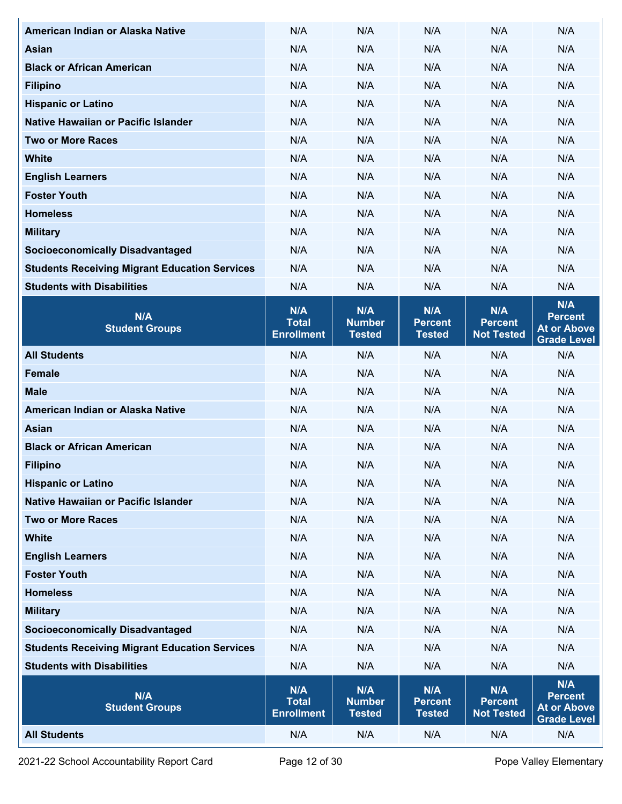| American Indian or Alaska Native                     | N/A                                      | N/A                                   | N/A                                    | N/A                                        | N/A                                                               |
|------------------------------------------------------|------------------------------------------|---------------------------------------|----------------------------------------|--------------------------------------------|-------------------------------------------------------------------|
| <b>Asian</b>                                         | N/A                                      | N/A                                   | N/A                                    | N/A                                        | N/A                                                               |
| <b>Black or African American</b>                     | N/A                                      | N/A                                   | N/A                                    | N/A                                        | N/A                                                               |
| <b>Filipino</b>                                      | N/A                                      | N/A                                   | N/A                                    | N/A                                        | N/A                                                               |
| <b>Hispanic or Latino</b>                            | N/A                                      | N/A                                   | N/A                                    | N/A                                        | N/A                                                               |
| Native Hawaiian or Pacific Islander                  | N/A                                      | N/A                                   | N/A                                    | N/A                                        | N/A                                                               |
| <b>Two or More Races</b>                             | N/A                                      | N/A                                   | N/A                                    | N/A                                        | N/A                                                               |
| <b>White</b>                                         | N/A                                      | N/A                                   | N/A                                    | N/A                                        | N/A                                                               |
| <b>English Learners</b>                              | N/A                                      | N/A                                   | N/A                                    | N/A                                        | N/A                                                               |
| <b>Foster Youth</b>                                  | N/A                                      | N/A                                   | N/A                                    | N/A                                        | N/A                                                               |
| <b>Homeless</b>                                      | N/A                                      | N/A                                   | N/A                                    | N/A                                        | N/A                                                               |
| <b>Military</b>                                      | N/A                                      | N/A                                   | N/A                                    | N/A                                        | N/A                                                               |
| <b>Socioeconomically Disadvantaged</b>               | N/A                                      | N/A                                   | N/A                                    | N/A                                        | N/A                                                               |
| <b>Students Receiving Migrant Education Services</b> | N/A                                      | N/A                                   | N/A                                    | N/A                                        | N/A                                                               |
| <b>Students with Disabilities</b>                    | N/A                                      | N/A                                   | N/A                                    | N/A                                        | N/A                                                               |
| N/A<br><b>Student Groups</b>                         | N/A<br><b>Total</b><br><b>Enrollment</b> | N/A<br><b>Number</b><br><b>Tested</b> | N/A<br><b>Percent</b><br><b>Tested</b> | N/A<br><b>Percent</b><br><b>Not Tested</b> | N/A<br><b>Percent</b><br><b>At or Above</b><br><b>Grade Level</b> |
| <b>All Students</b>                                  | N/A                                      | N/A                                   | N/A                                    | N/A                                        | N/A                                                               |
| <b>Female</b>                                        | N/A                                      | N/A                                   | N/A                                    | N/A                                        | N/A                                                               |
| <b>Male</b>                                          | N/A                                      | N/A                                   | N/A                                    | N/A                                        | N/A                                                               |
| American Indian or Alaska Native                     | N/A                                      | N/A                                   | N/A                                    | N/A                                        | N/A                                                               |
| <b>Asian</b>                                         | N/A                                      | N/A                                   | N/A                                    | N/A                                        | N/A                                                               |
| <b>Black or African American</b>                     | N/A                                      | N/A                                   | N/A                                    | N/A                                        | N/A                                                               |
| <b>Filipino</b>                                      | N/A                                      | N/A                                   | N/A                                    | N/A                                        | N/A                                                               |
| <b>Hispanic or Latino</b>                            | N/A                                      | N/A                                   | N/A                                    | N/A                                        | N/A                                                               |
| Native Hawaiian or Pacific Islander                  | N/A                                      | N/A                                   | N/A                                    | N/A                                        | N/A                                                               |
| <b>Two or More Races</b>                             | N/A                                      | N/A                                   | N/A                                    | N/A                                        | N/A                                                               |
| <b>White</b>                                         | N/A                                      | N/A                                   | N/A                                    | N/A                                        | N/A                                                               |
| <b>English Learners</b>                              | N/A                                      | N/A                                   | N/A                                    | N/A                                        | N/A                                                               |
| <b>Foster Youth</b>                                  | N/A                                      | N/A                                   | N/A                                    | N/A                                        | N/A                                                               |
| <b>Homeless</b>                                      | N/A                                      | N/A                                   | N/A                                    | N/A                                        | N/A                                                               |
| <b>Military</b>                                      | N/A                                      | N/A                                   | N/A                                    | N/A                                        | N/A                                                               |
| <b>Socioeconomically Disadvantaged</b>               | N/A                                      | N/A                                   | N/A                                    | N/A                                        | N/A                                                               |
| <b>Students Receiving Migrant Education Services</b> | N/A                                      | N/A                                   | N/A                                    | N/A                                        | N/A                                                               |
| <b>Students with Disabilities</b>                    | N/A                                      | N/A                                   | N/A                                    | N/A                                        | N/A                                                               |
| N/A<br><b>Student Groups</b>                         | N/A<br><b>Total</b><br><b>Enrollment</b> | N/A<br><b>Number</b><br><b>Tested</b> | N/A<br><b>Percent</b><br><b>Tested</b> | N/A<br><b>Percent</b><br><b>Not Tested</b> | N/A<br><b>Percent</b><br><b>At or Above</b><br><b>Grade Level</b> |
| <b>All Students</b>                                  | N/A                                      | N/A                                   | N/A                                    | N/A                                        | N/A                                                               |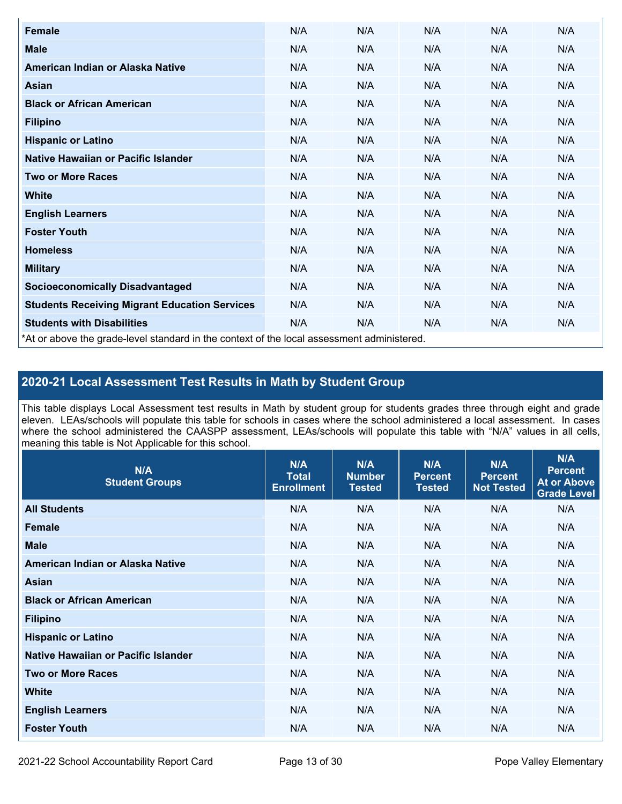| Female                                                                                     | N/A | N/A | N/A | N/A | N/A |
|--------------------------------------------------------------------------------------------|-----|-----|-----|-----|-----|
| <b>Male</b>                                                                                | N/A | N/A | N/A | N/A | N/A |
| American Indian or Alaska Native                                                           | N/A | N/A | N/A | N/A | N/A |
| <b>Asian</b>                                                                               | N/A | N/A | N/A | N/A | N/A |
| <b>Black or African American</b>                                                           | N/A | N/A | N/A | N/A | N/A |
| <b>Filipino</b>                                                                            | N/A | N/A | N/A | N/A | N/A |
| <b>Hispanic or Latino</b>                                                                  | N/A | N/A | N/A | N/A | N/A |
| Native Hawaiian or Pacific Islander                                                        | N/A | N/A | N/A | N/A | N/A |
| <b>Two or More Races</b>                                                                   | N/A | N/A | N/A | N/A | N/A |
| <b>White</b>                                                                               | N/A | N/A | N/A | N/A | N/A |
| <b>English Learners</b>                                                                    | N/A | N/A | N/A | N/A | N/A |
| <b>Foster Youth</b>                                                                        | N/A | N/A | N/A | N/A | N/A |
| <b>Homeless</b>                                                                            | N/A | N/A | N/A | N/A | N/A |
| <b>Military</b>                                                                            | N/A | N/A | N/A | N/A | N/A |
| <b>Socioeconomically Disadvantaged</b>                                                     | N/A | N/A | N/A | N/A | N/A |
| <b>Students Receiving Migrant Education Services</b>                                       | N/A | N/A | N/A | N/A | N/A |
| <b>Students with Disabilities</b>                                                          | N/A | N/A | N/A | N/A | N/A |
| *At or above the grade-level standard in the context of the local assessment administered. |     |     |     |     |     |

## **2020-21 Local Assessment Test Results in Math by Student Group**

This table displays Local Assessment test results in Math by student group for students grades three through eight and grade eleven. LEAs/schools will populate this table for schools in cases where the school administered a local assessment. In cases where the school administered the CAASPP assessment, LEAs/schools will populate this table with "N/A" values in all cells, meaning this table is Not Applicable for this school.

| N/A<br><b>Student Groups</b>        | N/A<br><b>Total</b><br><b>Enrollment</b> | N/A<br><b>Number</b><br><b>Tested</b> | N/A<br><b>Percent</b><br><b>Tested</b> | N/A<br><b>Percent</b><br><b>Not Tested</b> | N/A<br><b>Percent</b><br><b>At or Above</b><br><b>Grade Level</b> |
|-------------------------------------|------------------------------------------|---------------------------------------|----------------------------------------|--------------------------------------------|-------------------------------------------------------------------|
| <b>All Students</b>                 | N/A                                      | N/A                                   | N/A                                    | N/A                                        | N/A                                                               |
| <b>Female</b>                       | N/A                                      | N/A                                   | N/A                                    | N/A                                        | N/A                                                               |
| <b>Male</b>                         | N/A                                      | N/A                                   | N/A                                    | N/A                                        | N/A                                                               |
| American Indian or Alaska Native    | N/A                                      | N/A                                   | N/A                                    | N/A                                        | N/A                                                               |
| Asian                               | N/A                                      | N/A                                   | N/A                                    | N/A                                        | N/A                                                               |
| <b>Black or African American</b>    | N/A                                      | N/A                                   | N/A                                    | N/A                                        | N/A                                                               |
| <b>Filipino</b>                     | N/A                                      | N/A                                   | N/A                                    | N/A                                        | N/A                                                               |
| <b>Hispanic or Latino</b>           | N/A                                      | N/A                                   | N/A                                    | N/A                                        | N/A                                                               |
| Native Hawaiian or Pacific Islander | N/A                                      | N/A                                   | N/A                                    | N/A                                        | N/A                                                               |
| <b>Two or More Races</b>            | N/A                                      | N/A                                   | N/A                                    | N/A                                        | N/A                                                               |
| <b>White</b>                        | N/A                                      | N/A                                   | N/A                                    | N/A                                        | N/A                                                               |
| <b>English Learners</b>             | N/A                                      | N/A                                   | N/A                                    | N/A                                        | N/A                                                               |
| <b>Foster Youth</b>                 | N/A                                      | N/A                                   | N/A                                    | N/A                                        | N/A                                                               |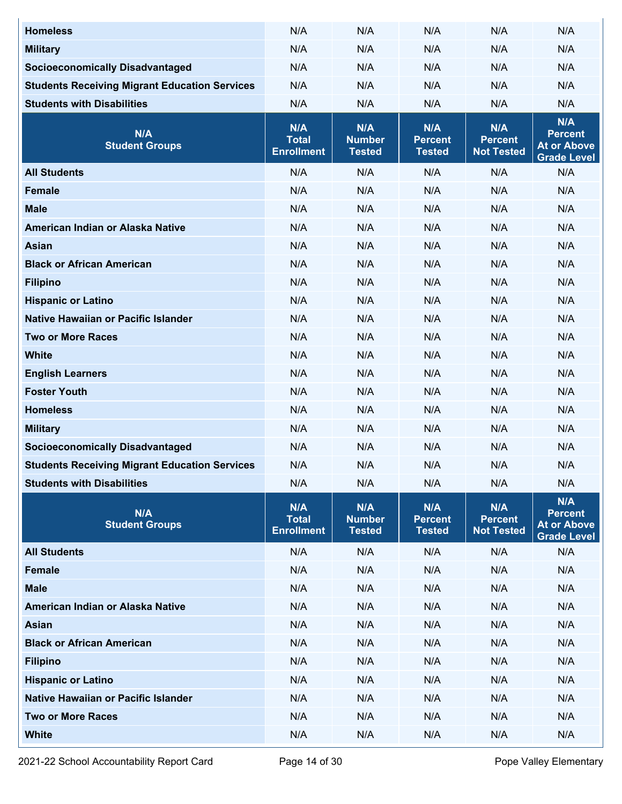| <b>Homeless</b>                                      | N/A                                      | N/A                                   | N/A                                    | N/A                                        | N/A                                                               |
|------------------------------------------------------|------------------------------------------|---------------------------------------|----------------------------------------|--------------------------------------------|-------------------------------------------------------------------|
| <b>Military</b>                                      | N/A                                      | N/A                                   | N/A                                    | N/A                                        | N/A                                                               |
| <b>Socioeconomically Disadvantaged</b>               | N/A                                      | N/A                                   | N/A                                    | N/A                                        | N/A                                                               |
| <b>Students Receiving Migrant Education Services</b> | N/A                                      | N/A                                   | N/A                                    | N/A                                        | N/A                                                               |
| <b>Students with Disabilities</b>                    | N/A                                      | N/A                                   | N/A                                    | N/A                                        | N/A                                                               |
| N/A<br><b>Student Groups</b>                         | N/A<br><b>Total</b><br><b>Enrollment</b> | N/A<br><b>Number</b><br><b>Tested</b> | N/A<br><b>Percent</b><br><b>Tested</b> | N/A<br><b>Percent</b><br><b>Not Tested</b> | N/A<br><b>Percent</b><br><b>At or Above</b><br><b>Grade Level</b> |
| <b>All Students</b>                                  | N/A                                      | N/A                                   | N/A                                    | N/A                                        | N/A                                                               |
| <b>Female</b>                                        | N/A                                      | N/A                                   | N/A                                    | N/A                                        | N/A                                                               |
| <b>Male</b>                                          | N/A                                      | N/A                                   | N/A                                    | N/A                                        | N/A                                                               |
| American Indian or Alaska Native                     | N/A                                      | N/A                                   | N/A                                    | N/A                                        | N/A                                                               |
| <b>Asian</b>                                         | N/A                                      | N/A                                   | N/A                                    | N/A                                        | N/A                                                               |
| <b>Black or African American</b>                     | N/A                                      | N/A                                   | N/A                                    | N/A                                        | N/A                                                               |
| <b>Filipino</b>                                      | N/A                                      | N/A                                   | N/A                                    | N/A                                        | N/A                                                               |
| <b>Hispanic or Latino</b>                            | N/A                                      | N/A                                   | N/A                                    | N/A                                        | N/A                                                               |
| Native Hawaiian or Pacific Islander                  | N/A                                      | N/A                                   | N/A                                    | N/A                                        | N/A                                                               |
| <b>Two or More Races</b>                             | N/A                                      | N/A                                   | N/A                                    | N/A                                        | N/A                                                               |
| <b>White</b>                                         | N/A                                      | N/A                                   | N/A                                    | N/A                                        | N/A                                                               |
| <b>English Learners</b>                              | N/A                                      | N/A                                   | N/A                                    | N/A                                        | N/A                                                               |
| <b>Foster Youth</b>                                  | N/A                                      | N/A                                   | N/A                                    | N/A                                        | N/A                                                               |
| <b>Homeless</b>                                      | N/A                                      | N/A                                   | N/A                                    | N/A                                        | N/A                                                               |
| <b>Military</b>                                      | N/A                                      | N/A                                   | N/A                                    | N/A                                        | N/A                                                               |
| <b>Socioeconomically Disadvantaged</b>               | N/A                                      | N/A                                   | N/A                                    | N/A                                        | N/A                                                               |
| <b>Students Receiving Migrant Education Services</b> | N/A                                      | N/A                                   | N/A                                    | N/A                                        | N/A                                                               |
| <b>Students with Disabilities</b>                    | N/A                                      | N/A                                   | N/A                                    | N/A                                        | N/A                                                               |
| N/A<br><b>Student Groups</b>                         | N/A<br><b>Total</b><br><b>Enrollment</b> | N/A<br><b>Number</b><br><b>Tested</b> | N/A<br><b>Percent</b><br><b>Tested</b> | N/A<br><b>Percent</b><br><b>Not Tested</b> | N/A<br><b>Percent</b><br><b>At or Above</b><br><b>Grade Level</b> |
| <b>All Students</b>                                  | N/A                                      | N/A                                   | N/A                                    | N/A                                        | N/A                                                               |
| <b>Female</b>                                        | N/A                                      | N/A                                   | N/A                                    | N/A                                        | N/A                                                               |
| <b>Male</b>                                          | N/A                                      | N/A                                   | N/A                                    | N/A                                        | N/A                                                               |
| American Indian or Alaska Native                     | N/A                                      | N/A                                   | N/A                                    | N/A                                        | N/A                                                               |
| <b>Asian</b>                                         | N/A                                      | N/A                                   | N/A                                    | N/A                                        | N/A                                                               |
| <b>Black or African American</b>                     | N/A                                      | N/A                                   | N/A                                    | N/A                                        | N/A                                                               |
| <b>Filipino</b>                                      | N/A                                      | N/A                                   | N/A                                    | N/A                                        | N/A                                                               |
| <b>Hispanic or Latino</b>                            | N/A                                      | N/A                                   | N/A                                    | N/A                                        | N/A                                                               |
| Native Hawaiian or Pacific Islander                  | N/A                                      | N/A                                   | N/A                                    | N/A                                        | N/A                                                               |
| <b>Two or More Races</b>                             | N/A                                      | N/A                                   | N/A                                    | N/A                                        | N/A                                                               |
| <b>White</b>                                         | N/A                                      | N/A                                   | N/A                                    | N/A                                        | N/A                                                               |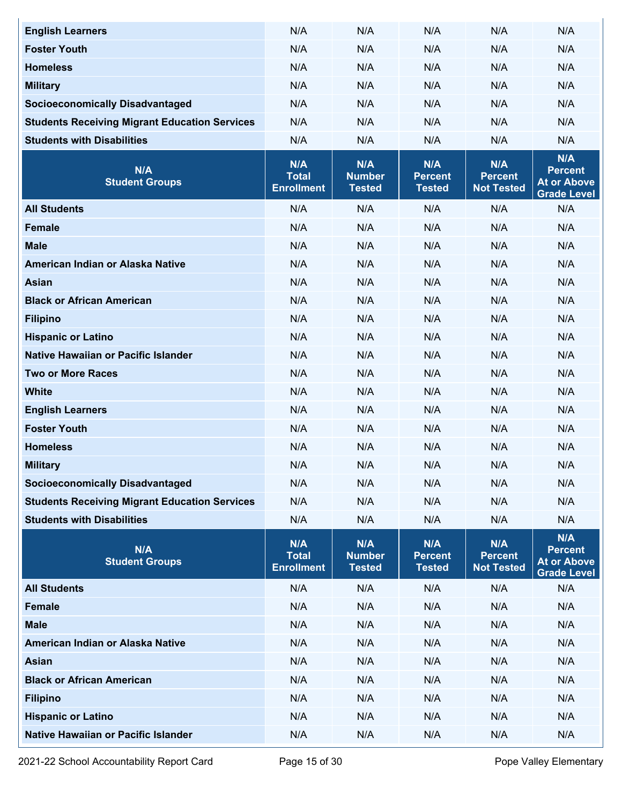| <b>English Learners</b>                              | N/A                                      | N/A                                   | N/A                                    | N/A                                        | N/A                                                               |
|------------------------------------------------------|------------------------------------------|---------------------------------------|----------------------------------------|--------------------------------------------|-------------------------------------------------------------------|
| <b>Foster Youth</b>                                  | N/A                                      | N/A                                   | N/A                                    | N/A                                        | N/A                                                               |
| <b>Homeless</b>                                      | N/A                                      | N/A                                   | N/A                                    | N/A                                        | N/A                                                               |
| <b>Military</b>                                      | N/A                                      | N/A                                   | N/A                                    | N/A                                        | N/A                                                               |
| <b>Socioeconomically Disadvantaged</b>               | N/A                                      | N/A                                   | N/A                                    | N/A                                        | N/A                                                               |
| <b>Students Receiving Migrant Education Services</b> | N/A                                      | N/A                                   | N/A                                    | N/A                                        | N/A                                                               |
| <b>Students with Disabilities</b>                    | N/A                                      | N/A                                   | N/A                                    | N/A                                        | N/A                                                               |
| N/A<br><b>Student Groups</b>                         | N/A<br><b>Total</b><br><b>Enrollment</b> | N/A<br><b>Number</b><br><b>Tested</b> | N/A<br><b>Percent</b><br><b>Tested</b> | N/A<br><b>Percent</b><br><b>Not Tested</b> | N/A<br><b>Percent</b><br><b>At or Above</b><br><b>Grade Level</b> |
| <b>All Students</b>                                  | N/A                                      | N/A                                   | N/A                                    | N/A                                        | N/A                                                               |
| <b>Female</b>                                        | N/A                                      | N/A                                   | N/A                                    | N/A                                        | N/A                                                               |
| <b>Male</b>                                          | N/A                                      | N/A                                   | N/A                                    | N/A                                        | N/A                                                               |
| American Indian or Alaska Native                     | N/A                                      | N/A                                   | N/A                                    | N/A                                        | N/A                                                               |
| <b>Asian</b>                                         | N/A                                      | N/A                                   | N/A                                    | N/A                                        | N/A                                                               |
| <b>Black or African American</b>                     | N/A                                      | N/A                                   | N/A                                    | N/A                                        | N/A                                                               |
| <b>Filipino</b>                                      | N/A                                      | N/A                                   | N/A                                    | N/A                                        | N/A                                                               |
| <b>Hispanic or Latino</b>                            | N/A                                      | N/A                                   | N/A                                    | N/A                                        | N/A                                                               |
| Native Hawaiian or Pacific Islander                  | N/A                                      | N/A                                   | N/A                                    | N/A                                        | N/A                                                               |
| <b>Two or More Races</b>                             | N/A                                      | N/A                                   | N/A                                    | N/A                                        | N/A                                                               |
| <b>White</b>                                         | N/A                                      | N/A                                   | N/A                                    | N/A                                        | N/A                                                               |
| <b>English Learners</b>                              | N/A                                      | N/A                                   | N/A                                    | N/A                                        | N/A                                                               |
| <b>Foster Youth</b>                                  | N/A                                      | N/A                                   | N/A                                    | N/A                                        | N/A                                                               |
| <b>Homeless</b>                                      | N/A                                      | N/A                                   | N/A                                    | N/A                                        | N/A                                                               |
| <b>Military</b>                                      | N/A                                      | N/A                                   | N/A                                    | N/A                                        | N/A                                                               |
| <b>Socioeconomically Disadvantaged</b>               | N/A                                      | N/A                                   | N/A                                    | N/A                                        | N/A                                                               |
| <b>Students Receiving Migrant Education Services</b> | N/A                                      | N/A                                   | N/A                                    | N/A                                        | N/A                                                               |
| <b>Students with Disabilities</b>                    | N/A                                      | N/A                                   | N/A                                    | N/A                                        | N/A                                                               |
| N/A<br><b>Student Groups</b>                         | N/A<br><b>Total</b><br><b>Enrollment</b> | N/A<br><b>Number</b><br><b>Tested</b> | N/A<br><b>Percent</b><br><b>Tested</b> | N/A<br><b>Percent</b><br><b>Not Tested</b> | N/A<br><b>Percent</b><br><b>At or Above</b><br><b>Grade Level</b> |
| <b>All Students</b>                                  | N/A                                      | N/A                                   | N/A                                    | N/A                                        | N/A                                                               |
| Female                                               | N/A                                      | N/A                                   | N/A                                    | N/A                                        | N/A                                                               |
| <b>Male</b>                                          | N/A                                      | N/A                                   | N/A                                    | N/A                                        | N/A                                                               |
| American Indian or Alaska Native                     | N/A                                      | N/A                                   | N/A                                    | N/A                                        | N/A                                                               |
| <b>Asian</b>                                         | N/A                                      | N/A                                   | N/A                                    | N/A                                        | N/A                                                               |
| <b>Black or African American</b>                     | N/A                                      | N/A                                   | N/A                                    | N/A                                        | N/A                                                               |
| <b>Filipino</b>                                      | N/A                                      | N/A                                   | N/A                                    | N/A                                        | N/A                                                               |
| <b>Hispanic or Latino</b>                            | N/A                                      | N/A                                   | N/A                                    | N/A                                        | N/A                                                               |
| Native Hawaiian or Pacific Islander                  | N/A                                      | N/A                                   | N/A                                    | N/A                                        | N/A                                                               |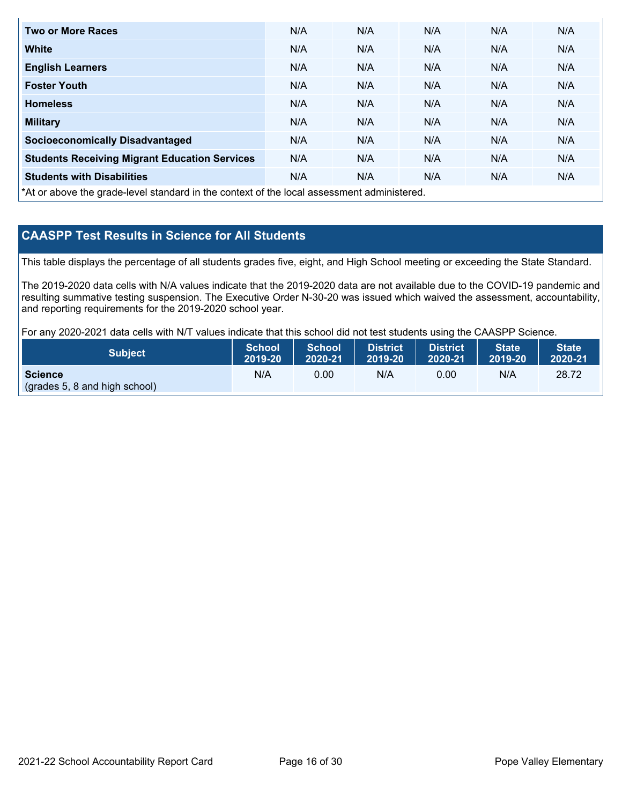| <b>Two or More Races</b>                                                                 | N/A | N/A | N/A | N/A | N/A |
|------------------------------------------------------------------------------------------|-----|-----|-----|-----|-----|
| <b>White</b>                                                                             | N/A | N/A | N/A | N/A | N/A |
| <b>English Learners</b>                                                                  | N/A | N/A | N/A | N/A | N/A |
| <b>Foster Youth</b>                                                                      | N/A | N/A | N/A | N/A | N/A |
| <b>Homeless</b>                                                                          | N/A | N/A | N/A | N/A | N/A |
| <b>Military</b>                                                                          | N/A | N/A | N/A | N/A | N/A |
| <b>Socioeconomically Disadvantaged</b>                                                   | N/A | N/A | N/A | N/A | N/A |
| <b>Students Receiving Migrant Education Services</b>                                     | N/A | N/A | N/A | N/A | N/A |
| <b>Students with Disabilities</b>                                                        | N/A | N/A | N/A | N/A | N/A |
| tha en aboug the arade lough tenderd in the context of the lead accessoment administered |     |     |     |     |     |

\*At or above the grade-level standard in the context of the local assessment administered.

## **CAASPP Test Results in Science for All Students**

This table displays the percentage of all students grades five, eight, and High School meeting or exceeding the State Standard.

The 2019-2020 data cells with N/A values indicate that the 2019-2020 data are not available due to the COVID-19 pandemic and resulting summative testing suspension. The Executive Order N-30-20 was issued which waived the assessment, accountability, and reporting requirements for the 2019-2020 school year.

For any 2020-2021 data cells with N/T values indicate that this school did not test students using the CAASPP Science.

| <b>Subject</b>                                  | <b>School</b> | <b>School</b> | <b>District</b> | District <b>\</b> | <b>State</b> | <b>State</b> |
|-------------------------------------------------|---------------|---------------|-----------------|-------------------|--------------|--------------|
|                                                 | 2019-20       | 2020-21       | 2019-20         | 2020-21           | 2019-20      | 2020-21      |
| <b>Science</b><br>(grades 5, 8 and high school) | N/A           | 0.00          | N/A             | 0.00              | N/A          | 28.72        |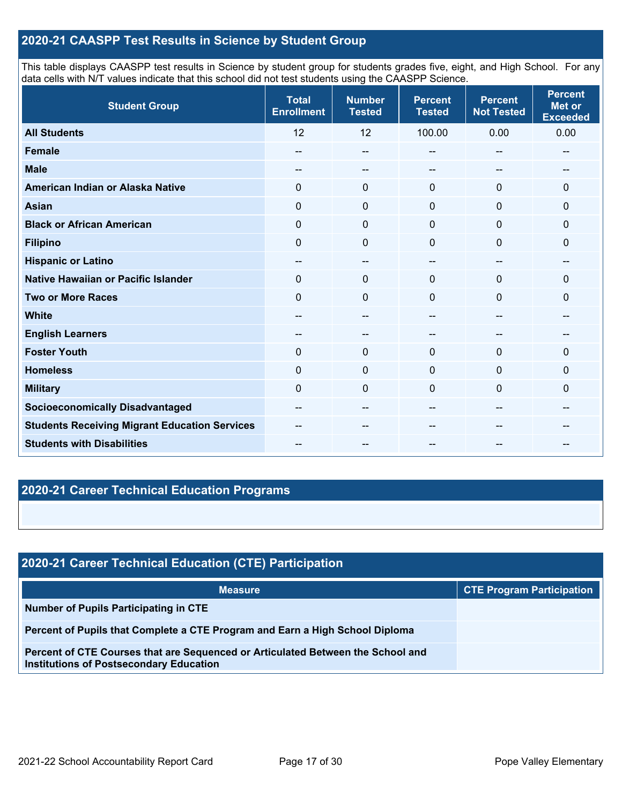## **2020-21 CAASPP Test Results in Science by Student Group**

This table displays CAASPP test results in Science by student group for students grades five, eight, and High School. For any data cells with N/T values indicate that this school did not test students using the CAASPP Science.

| <b>Student Group</b>                                 | <b>Total</b><br><b>Enrollment</b>     | <b>Number</b><br><b>Tested</b>        | <b>Percent</b><br><b>Tested</b>       | <b>Percent</b><br><b>Not Tested</b> | <b>Percent</b><br><b>Met or</b><br><b>Exceeded</b> |
|------------------------------------------------------|---------------------------------------|---------------------------------------|---------------------------------------|-------------------------------------|----------------------------------------------------|
| <b>All Students</b>                                  | 12                                    | 12                                    | 100.00                                | 0.00                                | 0.00                                               |
| <b>Female</b>                                        | --                                    | $-\!$ $\!-$                           |                                       | $\qquad \qquad \qquad -$            | --                                                 |
| <b>Male</b>                                          |                                       | --                                    | --                                    | --                                  | --                                                 |
| American Indian or Alaska Native                     | $\Omega$                              | $\mathbf 0$                           | $\mathbf 0$                           | $\mathbf 0$                         | $\mathbf{0}$                                       |
| <b>Asian</b>                                         | $\mathbf 0$                           | $\mathbf 0$                           | $\mathbf 0$                           | $\mathbf 0$                         | 0                                                  |
| <b>Black or African American</b>                     | $\mathbf 0$                           | $\mathbf 0$                           | $\mathbf 0$                           | $\mathbf 0$                         | 0                                                  |
| <b>Filipino</b>                                      | $\Omega$                              | $\mathbf 0$                           | 0                                     | $\Omega$                            | 0                                                  |
| <b>Hispanic or Latino</b>                            | $- -$                                 | $\overline{\phantom{m}}$              | --                                    | $-$                                 | $-$                                                |
| <b>Native Hawaiian or Pacific Islander</b>           | $\Omega$                              | 0                                     | $\Omega$                              | $\mathbf 0$                         | 0                                                  |
| <b>Two or More Races</b>                             | $\Omega$                              | $\mathbf 0$                           | $\Omega$                              | 0                                   | 0                                                  |
| <b>White</b>                                         | --                                    | $-$                                   | --                                    | $-$                                 | --                                                 |
| <b>English Learners</b>                              | $\hspace{0.05cm}$                     | $\hspace{0.05cm}$ – $\hspace{0.05cm}$ |                                       | $\overline{\phantom{a}}$            | --                                                 |
| <b>Foster Youth</b>                                  | $\mathbf 0$                           | $\mathbf 0$                           | $\mathbf{0}$                          | $\mathbf 0$                         | 0                                                  |
| <b>Homeless</b>                                      | $\mathbf 0$                           | $\mathbf 0$                           | $\mathbf 0$                           | $\mathbf{0}$                        | 0                                                  |
| <b>Military</b>                                      | $\Omega$                              | $\mathbf 0$                           | 0                                     | $\mathbf{0}$                        | 0                                                  |
| <b>Socioeconomically Disadvantaged</b>               | $\hspace{0.05cm}$ – $\hspace{0.05cm}$ | $-\!$ $\!-$                           | $\hspace{0.05cm}$ – $\hspace{0.05cm}$ | $\overline{\phantom{a}}$            | --                                                 |
| <b>Students Receiving Migrant Education Services</b> |                                       | --                                    |                                       |                                     |                                                    |
| <b>Students with Disabilities</b>                    |                                       |                                       |                                       |                                     |                                                    |

## **2020-21 Career Technical Education Programs**

| 2020-21 Career Technical Education (CTE) Participation                                                                            |                                  |  |  |  |  |  |
|-----------------------------------------------------------------------------------------------------------------------------------|----------------------------------|--|--|--|--|--|
| <b>Measure</b>                                                                                                                    | <b>CTE Program Participation</b> |  |  |  |  |  |
| Number of Pupils Participating in CTE                                                                                             |                                  |  |  |  |  |  |
| Percent of Pupils that Complete a CTE Program and Earn a High School Diploma                                                      |                                  |  |  |  |  |  |
| Percent of CTE Courses that are Sequenced or Articulated Between the School and<br><b>Institutions of Postsecondary Education</b> |                                  |  |  |  |  |  |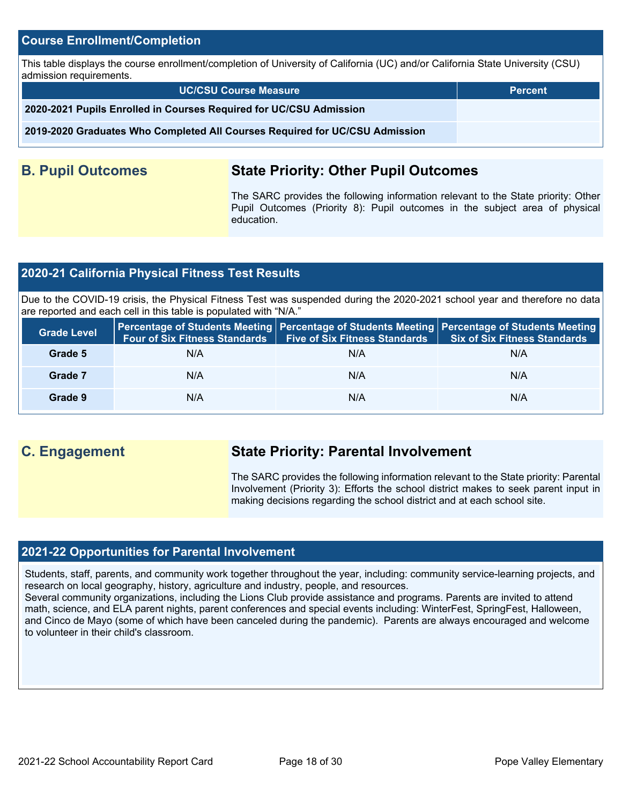### **Course Enrollment/Completion**

This table displays the course enrollment/completion of University of California (UC) and/or California State University (CSU) admission requirements.

**UC/CSU Course Measure Percent**

**2020-2021 Pupils Enrolled in Courses Required for UC/CSU Admission**

**2019-2020 Graduates Who Completed All Courses Required for UC/CSU Admission**

## **B. Pupil Outcomes State Priority: Other Pupil Outcomes**

The SARC provides the following information relevant to the State priority: Other Pupil Outcomes (Priority 8): Pupil outcomes in the subject area of physical education.

## **2020-21 California Physical Fitness Test Results**

Due to the COVID-19 crisis, the Physical Fitness Test was suspended during the 2020-2021 school year and therefore no data are reported and each cell in this table is populated with "N/A."

| <b>Grade Level</b> | Percentage of Students Meeting   Percentage of Students Meeting   Percentage of Students Meeting | Four of Six Fitness Standards   Five of Six Fitness Standards | Six of Six Fitness Standards |
|--------------------|--------------------------------------------------------------------------------------------------|---------------------------------------------------------------|------------------------------|
| Grade 5            | N/A                                                                                              | N/A                                                           | N/A                          |
| Grade 7            | N/A                                                                                              | N/A                                                           | N/A                          |
| Grade 9            | N/A                                                                                              | N/A                                                           | N/A                          |

## **C. Engagement State Priority: Parental Involvement**

The SARC provides the following information relevant to the State priority: Parental Involvement (Priority 3): Efforts the school district makes to seek parent input in making decisions regarding the school district and at each school site.

### **2021-22 Opportunities for Parental Involvement**

Students, staff, parents, and community work together throughout the year, including: community service-learning projects, and research on local geography, history, agriculture and industry, people, and resources.

Several community organizations, including the Lions Club provide assistance and programs. Parents are invited to attend math, science, and ELA parent nights, parent conferences and special events including: WinterFest, SpringFest, Halloween, and Cinco de Mayo (some of which have been canceled during the pandemic). Parents are always encouraged and welcome to volunteer in their child's classroom.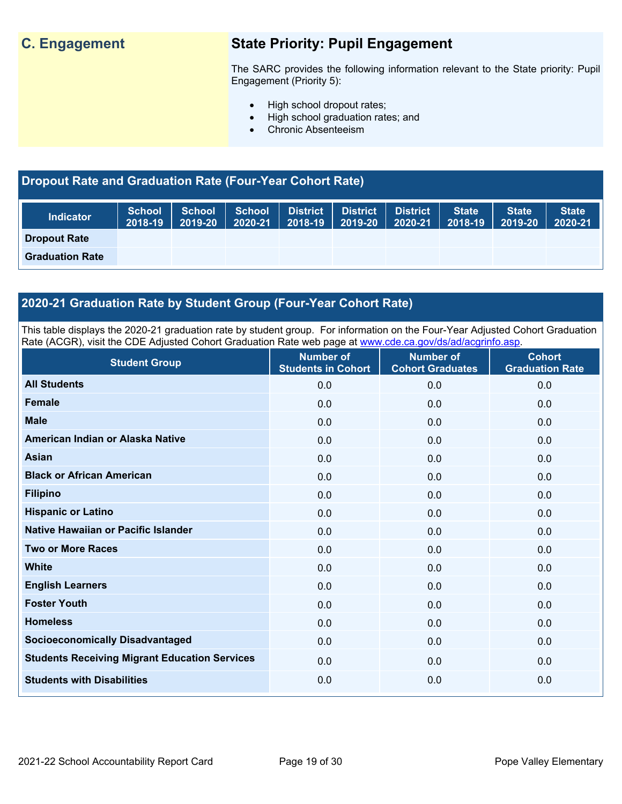## **C. Engagement State Priority: Pupil Engagement**

The SARC provides the following information relevant to the State priority: Pupil Engagement (Priority 5):

- High school dropout rates;
- High school graduation rates; and
- Chronic Absenteeism

## **Dropout Rate and Graduation Rate (Four-Year Cohort Rate)**

| <b>Indicator</b>       | <b>School</b><br>2018-19 | <b>School</b><br>2019-20 | $\vert$ School<br>$ 2020-21 $ | District   District  <br>$ 2018-19 2019-20 $ | <b>District</b><br>2020-21 | State <sup>1</sup><br>2018-19 | <b>State</b><br>$2019 - 20$ | State<br>2020-21 |
|------------------------|--------------------------|--------------------------|-------------------------------|----------------------------------------------|----------------------------|-------------------------------|-----------------------------|------------------|
| <b>Dropout Rate</b>    |                          |                          |                               |                                              |                            |                               |                             |                  |
| <b>Graduation Rate</b> |                          |                          |                               |                                              |                            |                               |                             |                  |

## **2020-21 Graduation Rate by Student Group (Four-Year Cohort Rate)**

This table displays the 2020-21 graduation rate by student group. For information on the Four-Year Adjusted Cohort Graduation Rate (ACGR), visit the CDE Adjusted Cohort Graduation Rate web page at [www.cde.ca.gov/ds/ad/acgrinfo.asp.](http://www.cde.ca.gov/ds/ad/acgrinfo.asp)

| <b>Student Group</b>                                 | <b>Number of</b><br><b>Students in Cohort</b> | <b>Number of</b><br><b>Cohort Graduates</b> | <b>Cohort</b><br><b>Graduation Rate</b> |
|------------------------------------------------------|-----------------------------------------------|---------------------------------------------|-----------------------------------------|
| <b>All Students</b>                                  | 0.0                                           | 0.0                                         | 0.0                                     |
| <b>Female</b>                                        | 0.0                                           | 0.0                                         | 0.0                                     |
| <b>Male</b>                                          | 0.0                                           | 0.0                                         | 0.0                                     |
| American Indian or Alaska Native                     | 0.0                                           | 0.0                                         | 0.0                                     |
| Asian                                                | 0.0                                           | 0.0                                         | 0.0                                     |
| <b>Black or African American</b>                     | 0.0                                           | 0.0                                         | 0.0                                     |
| <b>Filipino</b>                                      | 0.0                                           | 0.0                                         | 0.0                                     |
| <b>Hispanic or Latino</b>                            | 0.0                                           | 0.0                                         | 0.0                                     |
| Native Hawaiian or Pacific Islander                  | 0.0                                           | 0.0                                         | 0.0                                     |
| <b>Two or More Races</b>                             | 0.0                                           | 0.0                                         | 0.0                                     |
| <b>White</b>                                         | 0.0                                           | 0.0                                         | 0.0                                     |
| <b>English Learners</b>                              | 0.0                                           | 0.0                                         | 0.0                                     |
| <b>Foster Youth</b>                                  | 0.0                                           | 0.0                                         | 0.0                                     |
| <b>Homeless</b>                                      | 0.0                                           | 0.0                                         | 0.0                                     |
| <b>Socioeconomically Disadvantaged</b>               | 0.0                                           | 0.0                                         | 0.0                                     |
| <b>Students Receiving Migrant Education Services</b> | 0.0                                           | 0.0                                         | 0.0                                     |
| <b>Students with Disabilities</b>                    | 0.0                                           | 0.0                                         | 0.0                                     |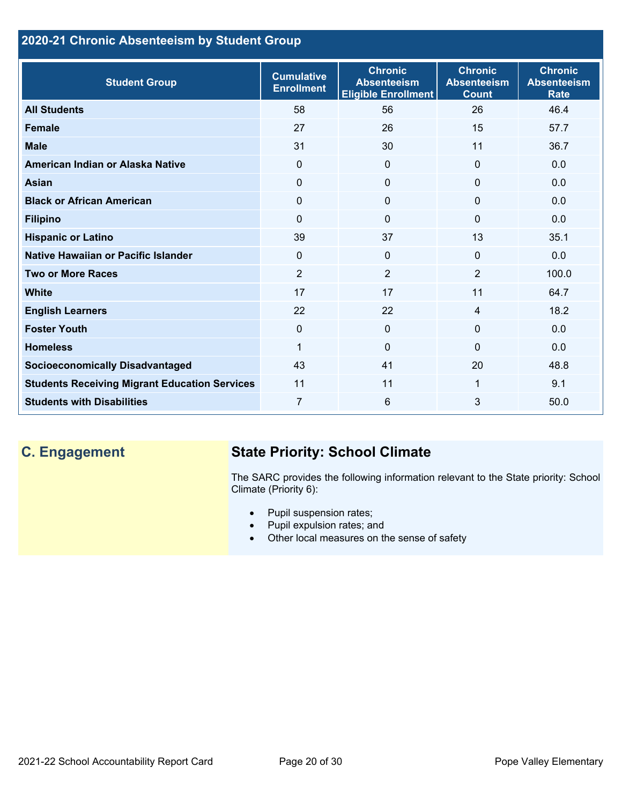## **2020-21 Chronic Absenteeism by Student Group**

| <b>Student Group</b>                                 | <b>Cumulative</b><br><b>Enrollment</b> | <b>Chronic</b><br><b>Absenteeism</b><br><b>Eligible Enrollment</b> | <b>Chronic</b><br><b>Absenteeism</b><br><b>Count</b> | <b>Chronic</b><br><b>Absenteeism</b><br><b>Rate</b> |
|------------------------------------------------------|----------------------------------------|--------------------------------------------------------------------|------------------------------------------------------|-----------------------------------------------------|
| <b>All Students</b>                                  | 58                                     | 56                                                                 | 26                                                   | 46.4                                                |
| <b>Female</b>                                        | 27                                     | 26                                                                 | 15                                                   | 57.7                                                |
| <b>Male</b>                                          | 31                                     | 30                                                                 | 11                                                   | 36.7                                                |
| American Indian or Alaska Native                     | $\Omega$                               | $\mathbf{0}$                                                       | $\mathbf{0}$                                         | 0.0                                                 |
| <b>Asian</b>                                         | $\Omega$                               | $\mathbf{0}$                                                       | $\Omega$                                             | 0.0                                                 |
| <b>Black or African American</b>                     | $\mathbf 0$                            | $\mathbf{0}$                                                       | $\mathbf 0$                                          | 0.0                                                 |
| <b>Filipino</b>                                      | $\Omega$                               | $\mathbf 0$                                                        | $\mathbf{0}$                                         | 0.0                                                 |
| <b>Hispanic or Latino</b>                            | 39                                     | 37                                                                 | 13                                                   | 35.1                                                |
| Native Hawaiian or Pacific Islander                  | $\Omega$                               | $\mathbf{0}$                                                       | $\mathbf{0}$                                         | 0.0                                                 |
| <b>Two or More Races</b>                             | $\overline{2}$                         | $\overline{2}$                                                     | 2                                                    | 100.0                                               |
| <b>White</b>                                         | 17                                     | 17                                                                 | 11                                                   | 64.7                                                |
| <b>English Learners</b>                              | 22                                     | 22                                                                 | $\overline{4}$                                       | 18.2                                                |
| <b>Foster Youth</b>                                  | $\Omega$                               | $\mathbf 0$                                                        | $\Omega$                                             | 0.0                                                 |
| <b>Homeless</b>                                      | 1                                      | 0                                                                  | $\Omega$                                             | 0.0                                                 |
| <b>Socioeconomically Disadvantaged</b>               | 43                                     | 41                                                                 | 20                                                   | 48.8                                                |
| <b>Students Receiving Migrant Education Services</b> | 11                                     | 11                                                                 | 1                                                    | 9.1                                                 |
| <b>Students with Disabilities</b>                    | 7                                      | 6                                                                  | 3                                                    | 50.0                                                |

## **C. Engagement State Priority: School Climate**

The SARC provides the following information relevant to the State priority: School Climate (Priority 6):

- Pupil suspension rates;
- Pupil expulsion rates; and
- Other local measures on the sense of safety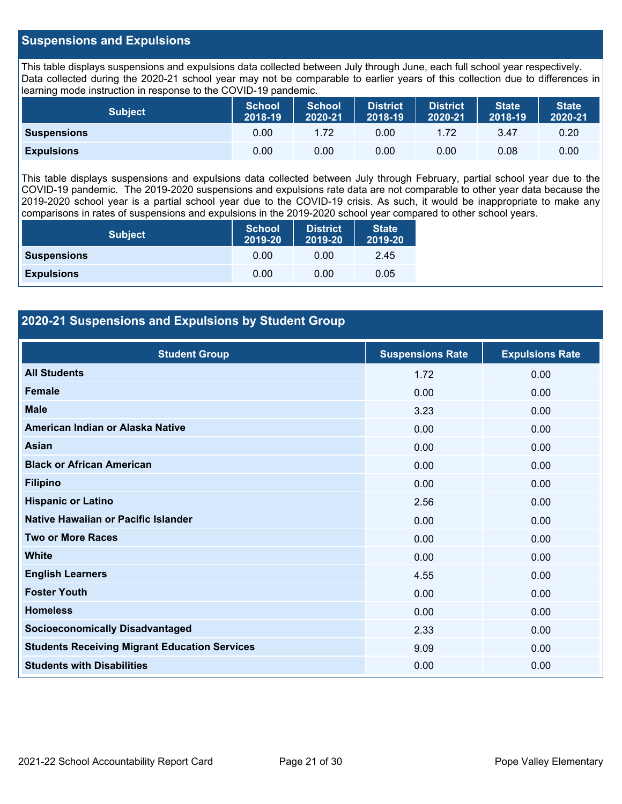## **Suspensions and Expulsions**

This table displays suspensions and expulsions data collected between July through June, each full school year respectively. Data collected during the 2020-21 school year may not be comparable to earlier years of this collection due to differences in learning mode instruction in response to the COVID-19 pandemic.

| <b>Subject</b>     | <b>School</b><br>2018-19 | <b>School</b><br>2020-21 | <b>District</b><br>2018-19 | <b>District</b><br>2020-21 | <b>State</b><br>2018-19 | State <sup>1</sup><br>2020-21 |
|--------------------|--------------------------|--------------------------|----------------------------|----------------------------|-------------------------|-------------------------------|
| <b>Suspensions</b> | 0.00                     | 1.72                     | 0.00                       | 1.72                       | 3.47                    | 0.20                          |
| <b>Expulsions</b>  | 0.00                     | 0.00                     | 0.00                       | 0.00                       | 0.08                    | 0.00                          |

This table displays suspensions and expulsions data collected between July through February, partial school year due to the COVID-19 pandemic. The 2019-2020 suspensions and expulsions rate data are not comparable to other year data because the 2019-2020 school year is a partial school year due to the COVID-19 crisis. As such, it would be inappropriate to make any comparisons in rates of suspensions and expulsions in the 2019-2020 school year compared to other school years.

| <b>Subject</b>     | <b>School</b><br>2019-20 | <b>District</b><br>2019-20 | <b>State</b><br>2019-20 |
|--------------------|--------------------------|----------------------------|-------------------------|
| <b>Suspensions</b> | 0.00                     | 0.00                       | 2.45                    |
| <b>Expulsions</b>  | 0.00                     | 0.00                       | 0.05                    |

## **2020-21 Suspensions and Expulsions by Student Group**

| <b>Student Group</b>                                 | <b>Suspensions Rate</b> | <b>Expulsions Rate</b> |
|------------------------------------------------------|-------------------------|------------------------|
| <b>All Students</b>                                  | 1.72                    | 0.00                   |
| <b>Female</b>                                        | 0.00                    | 0.00                   |
| <b>Male</b>                                          | 3.23                    | 0.00                   |
| American Indian or Alaska Native                     | 0.00                    | 0.00                   |
| <b>Asian</b>                                         | 0.00                    | 0.00                   |
| <b>Black or African American</b>                     | 0.00                    | 0.00                   |
| <b>Filipino</b>                                      | 0.00                    | 0.00                   |
| <b>Hispanic or Latino</b>                            | 2.56                    | 0.00                   |
| Native Hawaiian or Pacific Islander                  | 0.00                    | 0.00                   |
| <b>Two or More Races</b>                             | 0.00                    | 0.00                   |
| <b>White</b>                                         | 0.00                    | 0.00                   |
| <b>English Learners</b>                              | 4.55                    | 0.00                   |
| <b>Foster Youth</b>                                  | 0.00                    | 0.00                   |
| <b>Homeless</b>                                      | 0.00                    | 0.00                   |
| <b>Socioeconomically Disadvantaged</b>               | 2.33                    | 0.00                   |
| <b>Students Receiving Migrant Education Services</b> | 9.09                    | 0.00                   |
| <b>Students with Disabilities</b>                    | 0.00                    | 0.00                   |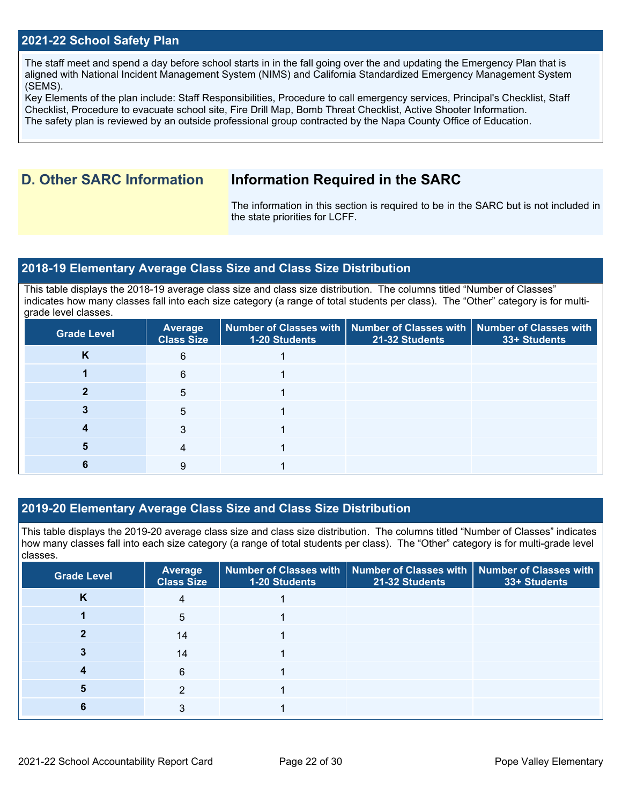## **2021-22 School Safety Plan**

The staff meet and spend a day before school starts in in the fall going over the and updating the Emergency Plan that is aligned with National Incident Management System (NIMS) and California Standardized Emergency Management System (SEMS).

Key Elements of the plan include: Staff Responsibilities, Procedure to call emergency services, Principal's Checklist, Staff Checklist, Procedure to evacuate school site, Fire Drill Map, Bomb Threat Checklist, Active Shooter Information. The safety plan is reviewed by an outside professional group contracted by the Napa County Office of Education.

## **D. Other SARC Information Information Required in the SARC**

The information in this section is required to be in the SARC but is not included in the state priorities for LCFF.

### **2018-19 Elementary Average Class Size and Class Size Distribution**

This table displays the 2018-19 average class size and class size distribution. The columns titled "Number of Classes" indicates how many classes fall into each size category (a range of total students per class). The "Other" category is for multigrade level classes.

| <b>Grade Level</b> | <b>Average</b><br><b>Class Size</b> | <b>1-20 Students</b> | $\mid$ Number of Classes with $\mid$ Number of Classes with $\mid$ Number of Classes with<br>21-32 Students | 33+ Students |
|--------------------|-------------------------------------|----------------------|-------------------------------------------------------------------------------------------------------------|--------------|
| K                  | 6                                   |                      |                                                                                                             |              |
|                    | 6                                   |                      |                                                                                                             |              |
|                    | 5                                   |                      |                                                                                                             |              |
|                    | 5                                   |                      |                                                                                                             |              |
|                    | 3                                   |                      |                                                                                                             |              |
| 5                  | 4                                   |                      |                                                                                                             |              |
|                    | 9                                   |                      |                                                                                                             |              |

## **2019-20 Elementary Average Class Size and Class Size Distribution**

This table displays the 2019-20 average class size and class size distribution. The columns titled "Number of Classes" indicates how many classes fall into each size category (a range of total students per class). The "Other" category is for multi-grade level classes.

| <b>Grade Level</b> | Average<br><b>Class Size</b> | 1-20 Students | Number of Classes with   Number of Classes with   Number of Classes with<br>21-32 Students | 33+ Students |
|--------------------|------------------------------|---------------|--------------------------------------------------------------------------------------------|--------------|
| n.                 | 4                            |               |                                                                                            |              |
|                    | 5                            |               |                                                                                            |              |
|                    | 14                           |               |                                                                                            |              |
|                    | 14                           |               |                                                                                            |              |
|                    | 6                            |               |                                                                                            |              |
| b                  | 2                            |               |                                                                                            |              |
| n                  | 3                            |               |                                                                                            |              |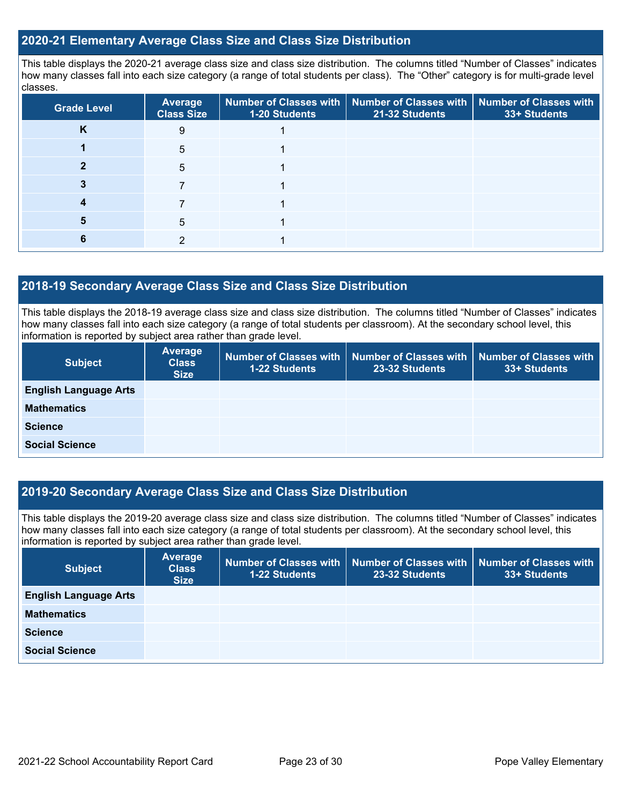## **2020-21 Elementary Average Class Size and Class Size Distribution**

This table displays the 2020-21 average class size and class size distribution. The columns titled "Number of Classes" indicates how many classes fall into each size category (a range of total students per class). The "Other" category is for multi-grade level classes.

| <b>Grade Level</b> | <b>Average</b><br><b>Class Size</b> | 1-20 Students | Number of Classes with   Number of Classes with   Number of Classes with<br>21-32 Students | 33+ Students |
|--------------------|-------------------------------------|---------------|--------------------------------------------------------------------------------------------|--------------|
| n.                 | 9                                   |               |                                                                                            |              |
|                    | 5                                   |               |                                                                                            |              |
|                    | 5                                   |               |                                                                                            |              |
|                    |                                     |               |                                                                                            |              |
|                    |                                     |               |                                                                                            |              |
|                    | 5                                   |               |                                                                                            |              |
|                    | っ                                   |               |                                                                                            |              |

### **2018-19 Secondary Average Class Size and Class Size Distribution**

This table displays the 2018-19 average class size and class size distribution. The columns titled "Number of Classes" indicates how many classes fall into each size category (a range of total students per classroom). At the secondary school level, this information is reported by subject area rather than grade level.

| <b>Subject</b>               | Average<br><b>Class</b><br><b>Size</b> | 1-22 Students | Number of Classes with   Number of Classes with   Number of Classes with<br>23-32 Students | 33+ Students |
|------------------------------|----------------------------------------|---------------|--------------------------------------------------------------------------------------------|--------------|
| <b>English Language Arts</b> |                                        |               |                                                                                            |              |
| <b>Mathematics</b>           |                                        |               |                                                                                            |              |
| <b>Science</b>               |                                        |               |                                                                                            |              |
| <b>Social Science</b>        |                                        |               |                                                                                            |              |

## **2019-20 Secondary Average Class Size and Class Size Distribution**

This table displays the 2019-20 average class size and class size distribution. The columns titled "Number of Classes" indicates how many classes fall into each size category (a range of total students per classroom). At the secondary school level, this information is reported by subject area rather than grade level.

| <b>Subject</b>               | Average<br><b>Class</b><br><b>Size</b> | 1-22 Students | Number of Classes with   Number of Classes with  <br>23-32 Students | $\mathsf I$ Number of Classes with $\mathsf I$<br>33+ Students |
|------------------------------|----------------------------------------|---------------|---------------------------------------------------------------------|----------------------------------------------------------------|
| <b>English Language Arts</b> |                                        |               |                                                                     |                                                                |
| <b>Mathematics</b>           |                                        |               |                                                                     |                                                                |
| <b>Science</b>               |                                        |               |                                                                     |                                                                |
| <b>Social Science</b>        |                                        |               |                                                                     |                                                                |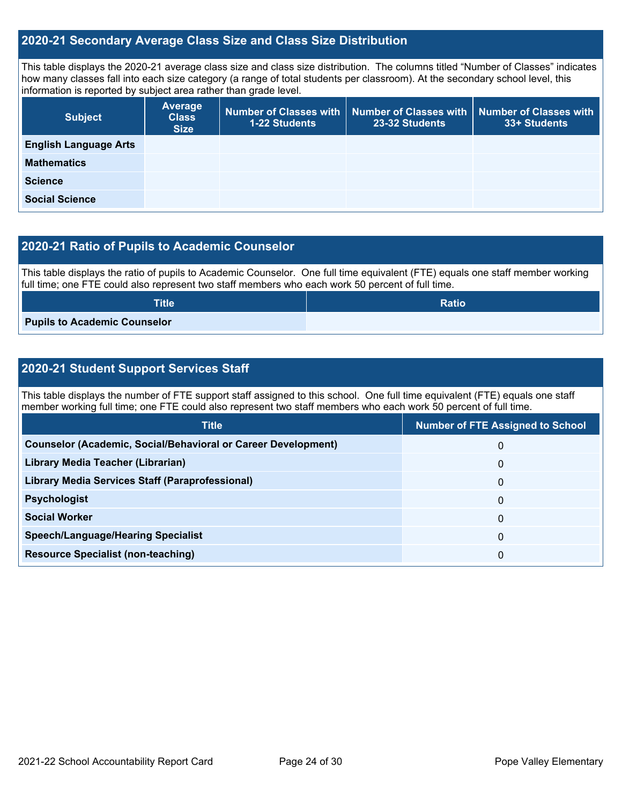## **2020-21 Secondary Average Class Size and Class Size Distribution**

This table displays the 2020-21 average class size and class size distribution. The columns titled "Number of Classes" indicates how many classes fall into each size category (a range of total students per classroom). At the secondary school level, this information is reported by subject area rather than grade level.

| <b>Subject</b>               | <b>Average</b><br><b>Class</b><br><b>Size</b> | <b>1-22 Students</b> | Number of Classes with   Number of Classes with  <br>23-32 Students | Number of Classes with<br>33+ Students |
|------------------------------|-----------------------------------------------|----------------------|---------------------------------------------------------------------|----------------------------------------|
| <b>English Language Arts</b> |                                               |                      |                                                                     |                                        |
| <b>Mathematics</b>           |                                               |                      |                                                                     |                                        |
| <b>Science</b>               |                                               |                      |                                                                     |                                        |
| <b>Social Science</b>        |                                               |                      |                                                                     |                                        |

## **2020-21 Ratio of Pupils to Academic Counselor**

This table displays the ratio of pupils to Academic Counselor. One full time equivalent (FTE) equals one staff member working full time; one FTE could also represent two staff members who each work 50 percent of full time.

| <b>Title</b>                        | <b>Ratio</b> |
|-------------------------------------|--------------|
| <b>Pupils to Academic Counselor</b> |              |

## **2020-21 Student Support Services Staff**

This table displays the number of FTE support staff assigned to this school. One full time equivalent (FTE) equals one staff member working full time; one FTE could also represent two staff members who each work 50 percent of full time.

| <b>Title</b>                                                         | <b>Number of FTE Assigned to School</b> |
|----------------------------------------------------------------------|-----------------------------------------|
| <b>Counselor (Academic, Social/Behavioral or Career Development)</b> | 0                                       |
| Library Media Teacher (Librarian)                                    | 0                                       |
| <b>Library Media Services Staff (Paraprofessional)</b>               | 0                                       |
| <b>Psychologist</b>                                                  | 0                                       |
| <b>Social Worker</b>                                                 | 0                                       |
| <b>Speech/Language/Hearing Specialist</b>                            | 0                                       |
| <b>Resource Specialist (non-teaching)</b>                            | 0                                       |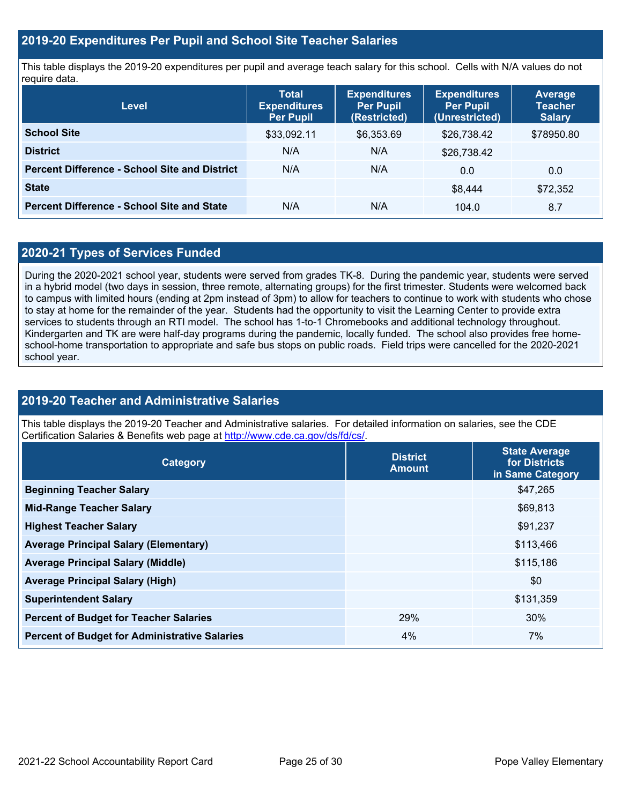## **2019-20 Expenditures Per Pupil and School Site Teacher Salaries**

This table displays the 2019-20 expenditures per pupil and average teach salary for this school. Cells with N/A values do not require data.

| <b>Level</b>                                         | <b>Total</b><br><b>Expenditures</b><br><b>Per Pupil</b> | <b>Expenditures</b><br><b>Per Pupil</b><br>(Restricted) | <b>Expenditures</b><br><b>Per Pupil</b><br>(Unrestricted) | Average<br><b>Teacher</b><br><b>Salary</b> |
|------------------------------------------------------|---------------------------------------------------------|---------------------------------------------------------|-----------------------------------------------------------|--------------------------------------------|
| <b>School Site</b>                                   | \$33,092.11                                             | \$6,353.69                                              | \$26,738.42                                               | \$78950.80                                 |
| <b>District</b>                                      | N/A                                                     | N/A                                                     | \$26,738.42                                               |                                            |
| <b>Percent Difference - School Site and District</b> | N/A                                                     | N/A                                                     | 0.0                                                       | 0.0                                        |
| <b>State</b>                                         |                                                         |                                                         | \$8.444                                                   | \$72,352                                   |
| <b>Percent Difference - School Site and State</b>    | N/A                                                     | N/A                                                     | 104.0                                                     | 8.7                                        |

## **2020-21 Types of Services Funded**

During the 2020-2021 school year, students were served from grades TK-8. During the pandemic year, students were served in a hybrid model (two days in session, three remote, alternating groups) for the first trimester. Students were welcomed back to campus with limited hours (ending at 2pm instead of 3pm) to allow for teachers to continue to work with students who chose to stay at home for the remainder of the year. Students had the opportunity to visit the Learning Center to provide extra services to students through an RTI model. The school has 1-to-1 Chromebooks and additional technology throughout. Kindergarten and TK are were half-day programs during the pandemic, locally funded. The school also provides free homeschool-home transportation to appropriate and safe bus stops on public roads. Field trips were cancelled for the 2020-2021 school year.

## **2019-20 Teacher and Administrative Salaries**

This table displays the 2019-20 Teacher and Administrative salaries. For detailed information on salaries, see the CDE Certification Salaries & Benefits web page at<http://www.cde.ca.gov/ds/fd/cs/>.

| Category                                             | <b>District</b><br><b>Amount</b> | <b>State Average</b><br>for Districts<br>in Same Category |
|------------------------------------------------------|----------------------------------|-----------------------------------------------------------|
| <b>Beginning Teacher Salary</b>                      |                                  | \$47,265                                                  |
| <b>Mid-Range Teacher Salary</b>                      |                                  | \$69,813                                                  |
| <b>Highest Teacher Salary</b>                        |                                  | \$91,237                                                  |
| <b>Average Principal Salary (Elementary)</b>         |                                  | \$113,466                                                 |
| <b>Average Principal Salary (Middle)</b>             |                                  | \$115,186                                                 |
| <b>Average Principal Salary (High)</b>               |                                  | \$0                                                       |
| <b>Superintendent Salary</b>                         |                                  | \$131,359                                                 |
| <b>Percent of Budget for Teacher Salaries</b>        | 29%                              | 30%                                                       |
| <b>Percent of Budget for Administrative Salaries</b> | 4%                               | 7%                                                        |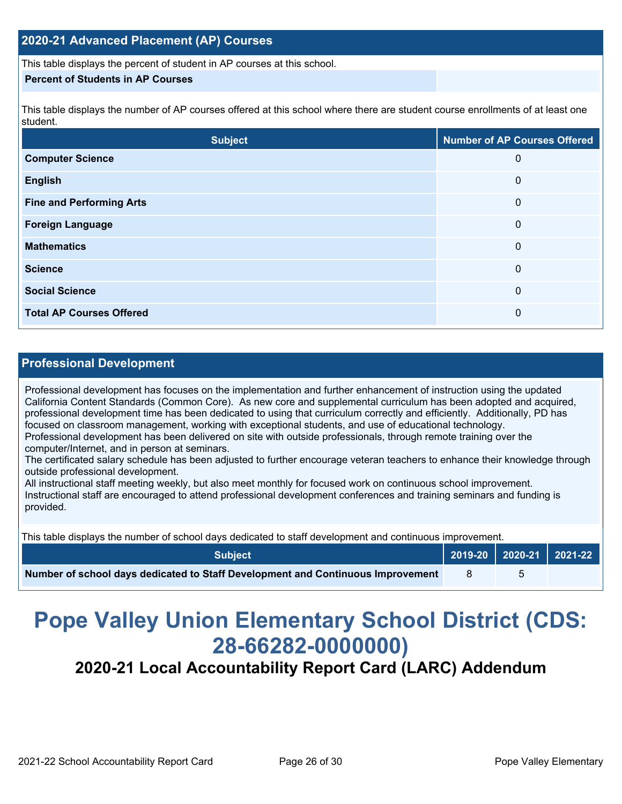This table displays the percent of student in AP courses at this school.

#### **Percent of Students in AP Courses**

This table displays the number of AP courses offered at this school where there are student course enrollments of at least one student.

| <b>Subject</b>                  | <b>Number of AP Courses Offered</b> |
|---------------------------------|-------------------------------------|
| <b>Computer Science</b>         | 0                                   |
| <b>English</b>                  | 0                                   |
| <b>Fine and Performing Arts</b> | 0                                   |
| <b>Foreign Language</b>         | 0                                   |
| <b>Mathematics</b>              | $\mathbf{0}$                        |
| <b>Science</b>                  | 0                                   |
| <b>Social Science</b>           | 0                                   |
| <b>Total AP Courses Offered</b> | 0                                   |

## **Professional Development**

Professional development has focuses on the implementation and further enhancement of instruction using the updated California Content Standards (Common Core). As new core and supplemental curriculum has been adopted and acquired, professional development time has been dedicated to using that curriculum correctly and efficiently. Additionally, PD has focused on classroom management, working with exceptional students, and use of educational technology. Professional development has been delivered on site with outside professionals, through remote training over the computer/Internet, and in person at seminars.

The certificated salary schedule has been adjusted to further encourage veteran teachers to enhance their knowledge through outside professional development.

All instructional staff meeting weekly, but also meet monthly for focused work on continuous school improvement. Instructional staff are encouraged to attend professional development conferences and training seminars and funding is provided.

This table displays the number of school days dedicated to staff development and continuous improvement.

| <b>Subiect</b>                                                                  | $\vert$ 2019-20 $\vert$ 2020-21 $\vert$ 2021-22 $\vert$ |  |
|---------------------------------------------------------------------------------|---------------------------------------------------------|--|
| Number of school days dedicated to Staff Development and Continuous Improvement |                                                         |  |

# **Pope Valley Union Elementary School District (CDS: 28-66282-0000000)**

**2020-21 Local Accountability Report Card (LARC) Addendum**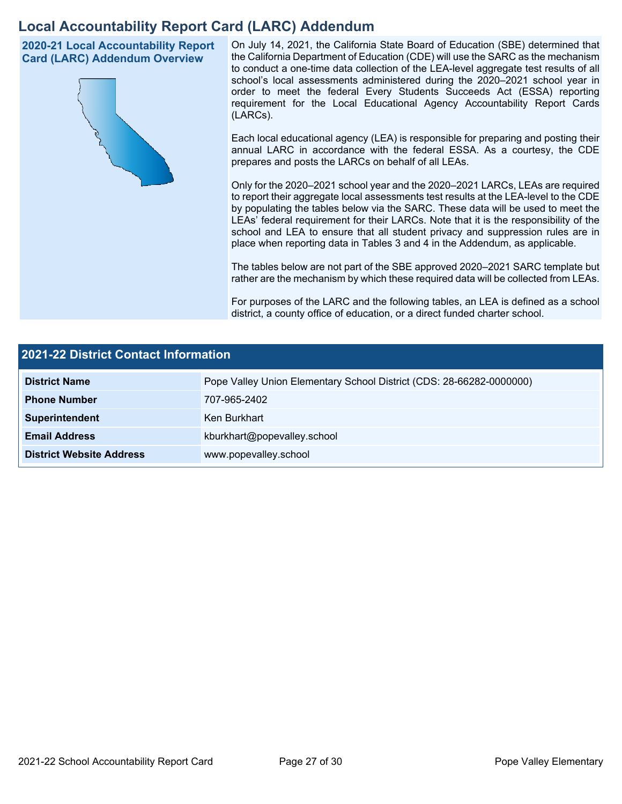## **Local Accountability Report Card (LARC) Addendum**

**2020-21 Local Accountability Report Card (LARC) Addendum Overview**



On July 14, 2021, the California State Board of Education (SBE) determined that the California Department of Education (CDE) will use the SARC as the mechanism to conduct a one-time data collection of the LEA-level aggregate test results of all school's local assessments administered during the 2020–2021 school year in order to meet the federal Every Students Succeeds Act (ESSA) reporting requirement for the Local Educational Agency Accountability Report Cards (LARCs).

Each local educational agency (LEA) is responsible for preparing and posting their annual LARC in accordance with the federal ESSA. As a courtesy, the CDE prepares and posts the LARCs on behalf of all LEAs.

Only for the 2020–2021 school year and the 2020–2021 LARCs, LEAs are required to report their aggregate local assessments test results at the LEA-level to the CDE by populating the tables below via the SARC. These data will be used to meet the LEAs' federal requirement for their LARCs. Note that it is the responsibility of the school and LEA to ensure that all student privacy and suppression rules are in place when reporting data in Tables 3 and 4 in the Addendum, as applicable.

The tables below are not part of the SBE approved 2020–2021 SARC template but rather are the mechanism by which these required data will be collected from LEAs.

For purposes of the LARC and the following tables, an LEA is defined as a school district, a county office of education, or a direct funded charter school.

| 2021-22 District Contact Information |                                                                      |  |  |  |  |
|--------------------------------------|----------------------------------------------------------------------|--|--|--|--|
| <b>District Name</b>                 | Pope Valley Union Elementary School District (CDS: 28-66282-0000000) |  |  |  |  |
| <b>Phone Number</b>                  | 707-965-2402                                                         |  |  |  |  |
| Superintendent                       | Ken Burkhart                                                         |  |  |  |  |
| <b>Email Address</b>                 | kburkhart@popevalley.school                                          |  |  |  |  |
| <b>District Website Address</b>      | www.popevalley.school                                                |  |  |  |  |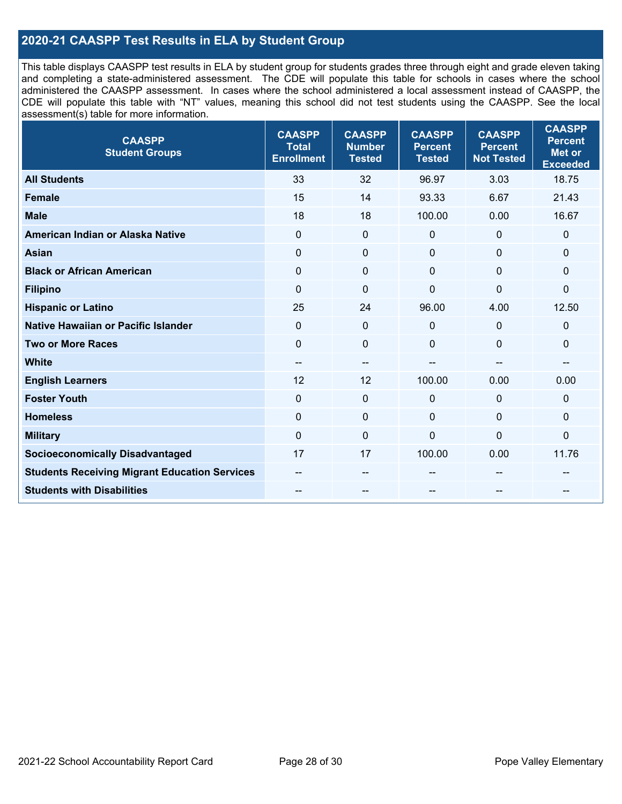## **2020-21 CAASPP Test Results in ELA by Student Group**

This table displays CAASPP test results in ELA by student group for students grades three through eight and grade eleven taking and completing a state-administered assessment. The CDE will populate this table for schools in cases where the school administered the CAASPP assessment. In cases where the school administered a local assessment instead of CAASPP, the CDE will populate this table with "NT" values, meaning this school did not test students using the CAASPP. See the local assessment(s) table for more information.

| <b>CAASPP</b><br><b>Student Groups</b>               | <b>CAASPP</b><br><b>Total</b><br><b>Enrollment</b> | <b>CAASPP</b><br><b>Number</b><br><b>Tested</b> | <b>CAASPP</b><br><b>Percent</b><br><b>Tested</b> | <b>CAASPP</b><br><b>Percent</b><br><b>Not Tested</b> | <b>CAASPP</b><br><b>Percent</b><br><b>Met or</b><br><b>Exceeded</b> |
|------------------------------------------------------|----------------------------------------------------|-------------------------------------------------|--------------------------------------------------|------------------------------------------------------|---------------------------------------------------------------------|
| <b>All Students</b>                                  | 33                                                 | 32                                              | 96.97                                            | 3.03                                                 | 18.75                                                               |
| <b>Female</b>                                        | 15                                                 | 14                                              | 93.33                                            | 6.67                                                 | 21.43                                                               |
| <b>Male</b>                                          | 18                                                 | 18                                              | 100.00                                           | 0.00                                                 | 16.67                                                               |
| American Indian or Alaska Native                     | $\mathbf 0$                                        | $\pmb{0}$                                       | $\mathbf 0$                                      | $\mathbf 0$                                          | 0                                                                   |
| <b>Asian</b>                                         | $\mathbf 0$                                        | $\pmb{0}$                                       | $\mathbf 0$                                      | $\mathbf{0}$                                         | 0                                                                   |
| <b>Black or African American</b>                     | $\mathbf 0$                                        | $\mathbf 0$                                     | $\mathbf{0}$                                     | $\mathbf 0$                                          | 0                                                                   |
| <b>Filipino</b>                                      | $\mathbf 0$                                        | $\mathbf 0$                                     | $\mathbf 0$                                      | $\mathbf 0$                                          | 0                                                                   |
| <b>Hispanic or Latino</b>                            | 25                                                 | 24                                              | 96.00                                            | 4.00                                                 | 12.50                                                               |
| <b>Native Hawaiian or Pacific Islander</b>           | $\mathbf 0$                                        | $\pmb{0}$                                       | $\mathbf 0$                                      | $\mathbf 0$                                          | 0                                                                   |
| <b>Two or More Races</b>                             | $\mathbf 0$                                        | $\mathbf 0$                                     | $\mathbf 0$                                      | $\Omega$                                             | 0                                                                   |
| <b>White</b>                                         | $-$                                                | $\overline{\phantom{a}}$                        |                                                  | $-$                                                  | $-$                                                                 |
| <b>English Learners</b>                              | 12                                                 | 12                                              | 100.00                                           | 0.00                                                 | 0.00                                                                |
| <b>Foster Youth</b>                                  | $\mathbf 0$                                        | $\mathbf 0$                                     | $\mathbf 0$                                      | $\mathbf 0$                                          | $\Omega$                                                            |
| <b>Homeless</b>                                      | $\mathbf 0$                                        | $\mathbf 0$                                     | $\mathbf 0$                                      | $\mathbf 0$                                          | 0                                                                   |
| <b>Military</b>                                      | $\mathbf 0$                                        | $\pmb{0}$                                       | $\mathbf 0$                                      | $\mathbf 0$                                          | $\mathbf 0$                                                         |
| <b>Socioeconomically Disadvantaged</b>               | 17                                                 | 17                                              | 100.00                                           | 0.00                                                 | 11.76                                                               |
| <b>Students Receiving Migrant Education Services</b> |                                                    | $\qquad \qquad -$                               |                                                  |                                                      |                                                                     |
| <b>Students with Disabilities</b>                    |                                                    | --                                              |                                                  |                                                      |                                                                     |